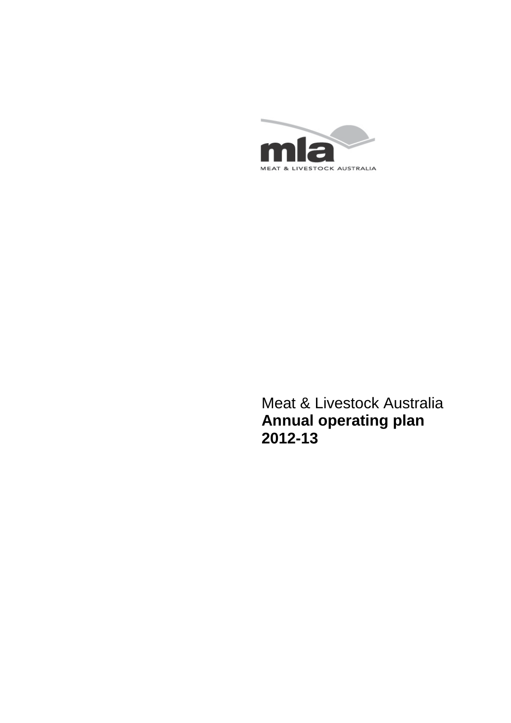

<span id="page-0-0"></span>Meat & Livestock Australia **Annual operating plan 2012-13**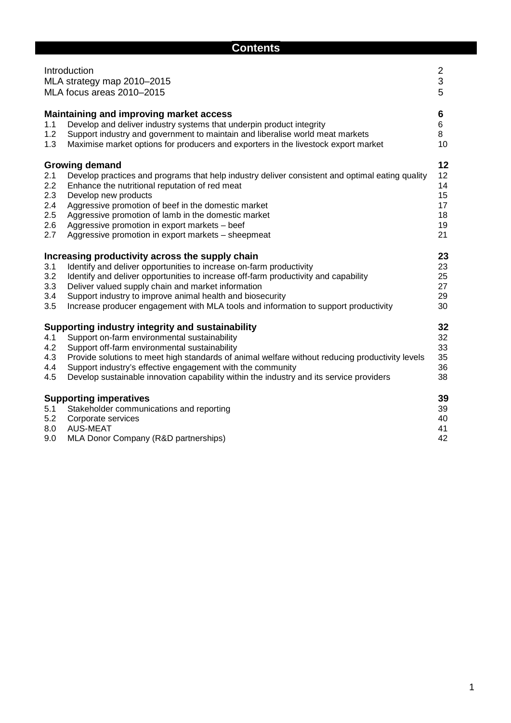# **Contents**

|                                               | Introduction<br>MLA strategy map 2010-2015<br>MLA focus areas 2010-2015                                                                                                                                                                                                                                                                                                                                                 | $\overline{\mathbf{c}}$<br>3<br>5            |
|-----------------------------------------------|-------------------------------------------------------------------------------------------------------------------------------------------------------------------------------------------------------------------------------------------------------------------------------------------------------------------------------------------------------------------------------------------------------------------------|----------------------------------------------|
| 1.1<br>1.2<br>1.3                             | <b>Maintaining and improving market access</b><br>Develop and deliver industry systems that underpin product integrity<br>Support industry and government to maintain and liberalise world meat markets<br>Maximise market options for producers and exporters in the livestock export market                                                                                                                           | 6<br>6<br>8<br>10                            |
| 2.1<br>2.2<br>2.3<br>2.4<br>2.5<br>2.6<br>2.7 | <b>Growing demand</b><br>Develop practices and programs that help industry deliver consistent and optimal eating quality<br>Enhance the nutritional reputation of red meat<br>Develop new products<br>Aggressive promotion of beef in the domestic market<br>Aggressive promotion of lamb in the domestic market<br>Aggressive promotion in export markets - beef<br>Aggressive promotion in export markets - sheepmeat | 12<br>12<br>14<br>15<br>17<br>18<br>19<br>21 |
| 3.1<br>3.2<br>3.3<br>3.4<br>3.5               | Increasing productivity across the supply chain<br>Identify and deliver opportunities to increase on-farm productivity<br>Identify and deliver opportunities to increase off-farm productivity and capability<br>Deliver valued supply chain and market information<br>Support industry to improve animal health and biosecurity<br>Increase producer engagement with MLA tools and information to support productivity | 23<br>23<br>25<br>27<br>29<br>30             |
| 4.1<br>4.2<br>4.3<br>4.4<br>4.5               | Supporting industry integrity and sustainability<br>Support on-farm environmental sustainability<br>Support off-farm environmental sustainability<br>Provide solutions to meet high standards of animal welfare without reducing productivity levels<br>Support industry's effective engagement with the community<br>Develop sustainable innovation capability within the industry and its service providers           | 32<br>32<br>33<br>35<br>36<br>38             |
| 5.1<br>5.2<br>8.0<br>9.0                      | <b>Supporting imperatives</b><br>Stakeholder communications and reporting<br>Corporate services<br>AUS-MEAT<br>MLA Donor Company (R&D partnerships)                                                                                                                                                                                                                                                                     | 39<br>39<br>40<br>41<br>42                   |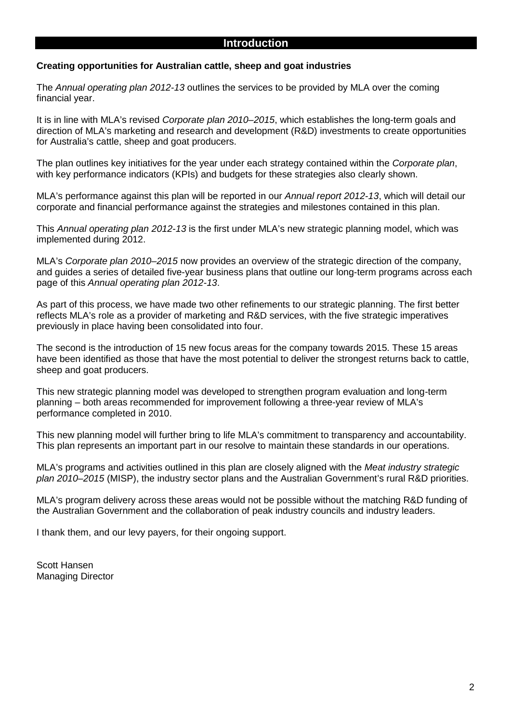### **Creating opportunities for Australian cattle, sheep and goat industries**

The *Annual operating plan 2012-13* outlines the services to be provided by MLA over the coming financial year.

It is in line with MLA's revised *Corporate plan 2010–2015*, which establishes the long-term goals and direction of MLA's marketing and research and development (R&D) investments to create opportunities for Australia's cattle, sheep and goat producers.

The plan outlines key initiatives for the year under each strategy contained within the *Corporate plan*, with key performance indicators (KPIs) and budgets for these strategies also clearly shown.

MLA's performance against this plan will be reported in our *Annual report 2012-13*, which will detail our corporate and financial performance against the strategies and milestones contained in this plan.

This *Annual operating plan 2012-13* is the first under MLA's new strategic planning model, which was implemented during 2012.

MLA's *Corporate plan 2010–2015* now provides an overview of the strategic direction of the company, and guides a series of detailed five-year business plans that outline our long-term programs across each page of this *Annual operating plan 2012-13*.

As part of this process, we have made two other refinements to our strategic planning. The first better reflects MLA's role as a provider of marketing and R&D services, with the five strategic imperatives previously in place having been consolidated into four.

The second is the introduction of 15 new focus areas for the company towards 2015. These 15 areas have been identified as those that have the most potential to deliver the strongest returns back to cattle, sheep and goat producers.

This new strategic planning model was developed to strengthen program evaluation and long-term planning – both areas recommended for improvement following a three-year review of MLA's performance completed in 2010.

This new planning model will further bring to life MLA's commitment to transparency and accountability. This plan represents an important part in our resolve to maintain these standards in our operations.

MLA's programs and activities outlined in this plan are closely aligned with the *Meat industry strategic plan 2010–2015* (MISP), the industry sector plans and the Australian Government's rural R&D priorities.

MLA's program delivery across these areas would not be possible without the matching R&D funding of the Australian Government and the collaboration of peak industry councils and industry leaders.

I thank them, and our levy payers, for their ongoing support.

Scott Hansen Managing Director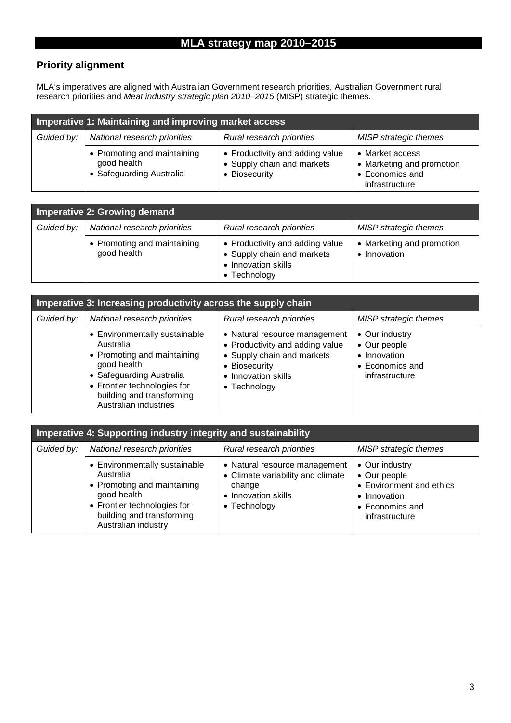# **MLA strategy map 2010–2015**

# **Priority alignment**

MLA's imperatives are aligned with Australian Government research priorities, Australian Government rural research priorities and *Meat industry strategic plan 2010–2015* (MISP) strategic themes.

| Imperative 1: Maintaining and improving market access |                                                                        |                                                                                |                                                                                   |  |  |  |  |
|-------------------------------------------------------|------------------------------------------------------------------------|--------------------------------------------------------------------------------|-----------------------------------------------------------------------------------|--|--|--|--|
| Guided by:                                            | National research priorities                                           | Rural research priorities                                                      | <b>MISP</b> strategic themes                                                      |  |  |  |  |
|                                                       | • Promoting and maintaining<br>good health<br>• Safeguarding Australia | • Productivity and adding value<br>• Supply chain and markets<br>• Biosecurity | • Market access<br>• Marketing and promotion<br>• Economics and<br>infrastructure |  |  |  |  |

| Imperative 2: Growing demand |                                            |                                                                                                              |                                           |  |  |  |  |  |
|------------------------------|--------------------------------------------|--------------------------------------------------------------------------------------------------------------|-------------------------------------------|--|--|--|--|--|
| Guided by:                   | National research priorities               | Rural research priorities                                                                                    | <b>MISP</b> strategic themes              |  |  |  |  |  |
|                              | • Promoting and maintaining<br>good health | • Productivity and adding value<br>• Supply chain and markets<br>• Innovation skills<br>$\bullet$ Technology | • Marketing and promotion<br>• Innovation |  |  |  |  |  |

| Imperative 3: Increasing productivity across the supply chain |                                                                                                                                                                                                           |                                                                                                                                                                |                                                                                     |  |  |  |  |  |  |
|---------------------------------------------------------------|-----------------------------------------------------------------------------------------------------------------------------------------------------------------------------------------------------------|----------------------------------------------------------------------------------------------------------------------------------------------------------------|-------------------------------------------------------------------------------------|--|--|--|--|--|--|
| Guided by:                                                    | National research priorities                                                                                                                                                                              | Rural research priorities                                                                                                                                      | <b>MISP</b> strategic themes                                                        |  |  |  |  |  |  |
|                                                               | • Environmentally sustainable<br>Australia<br>• Promoting and maintaining<br>good health<br>• Safeguarding Australia<br>• Frontier technologies for<br>building and transforming<br>Australian industries | • Natural resource management<br>• Productivity and adding value<br>• Supply chain and markets<br>• Biosecurity<br>• Innovation skills<br>$\bullet$ Technology | • Our industry<br>• Our people<br>• Innovation<br>• Economics and<br>infrastructure |  |  |  |  |  |  |

| Imperative 4: Supporting industry integrity and sustainability |                                                                                                                                                                             |                                                                                                                     |                                                                                                                 |  |  |  |  |  |
|----------------------------------------------------------------|-----------------------------------------------------------------------------------------------------------------------------------------------------------------------------|---------------------------------------------------------------------------------------------------------------------|-----------------------------------------------------------------------------------------------------------------|--|--|--|--|--|
| Guided by:                                                     | National research priorities                                                                                                                                                | Rural research priorities                                                                                           | <b>MISP</b> strategic themes                                                                                    |  |  |  |  |  |
|                                                                | • Environmentally sustainable<br>Australia<br>• Promoting and maintaining<br>good health<br>• Frontier technologies for<br>building and transforming<br>Australian industry | • Natural resource management<br>• Climate variability and climate<br>change<br>• Innovation skills<br>• Technology | • Our industry<br>• Our people<br>• Environment and ethics<br>• Innovation<br>• Economics and<br>infrastructure |  |  |  |  |  |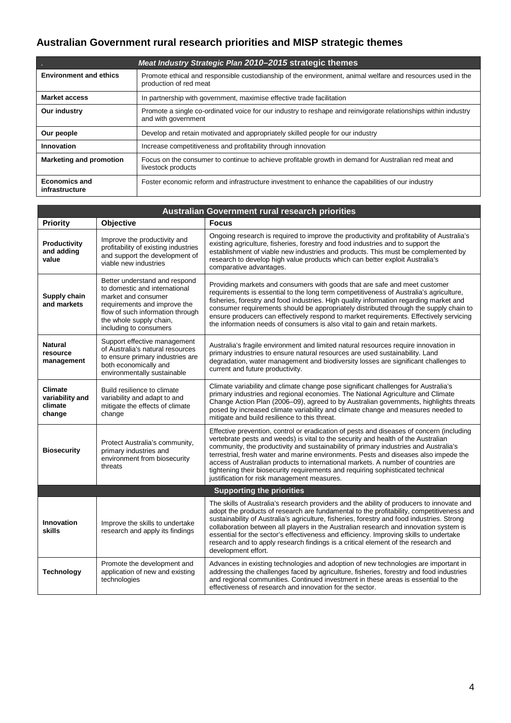# **Australian Government rural research priorities and MISP strategic themes**

|                                        | Meat Industry Strategic Plan 2010–2015 strategic themes                                                                               |
|----------------------------------------|---------------------------------------------------------------------------------------------------------------------------------------|
| <b>Environment and ethics</b>          | Promote ethical and responsible custodianship of the environment, animal welfare and resources used in the<br>production of red meat  |
| <b>Market access</b>                   | In partnership with government, maximise effective trade facilitation                                                                 |
| Our industry                           | Promote a single co-ordinated voice for our industry to reshape and reinvigorate relationships within industry<br>and with government |
| Our people                             | Develop and retain motivated and appropriately skilled people for our industry                                                        |
| Innovation                             | Increase competitiveness and profitability through innovation                                                                         |
| <b>Marketing and promotion</b>         | Focus on the consumer to continue to achieve profitable growth in demand for Australian red meat and<br>livestock products            |
| <b>Economics and</b><br>infrastructure | Foster economic reform and infrastructure investment to enhance the capabilities of our industry                                      |

| <b>Australian Government rural research priorities</b> |                                                                                                                                                                                                                |                                                                                                                                                                                                                                                                                                                                                                                                                                                                                                                                                                                      |  |  |  |  |  |
|--------------------------------------------------------|----------------------------------------------------------------------------------------------------------------------------------------------------------------------------------------------------------------|--------------------------------------------------------------------------------------------------------------------------------------------------------------------------------------------------------------------------------------------------------------------------------------------------------------------------------------------------------------------------------------------------------------------------------------------------------------------------------------------------------------------------------------------------------------------------------------|--|--|--|--|--|
| <b>Priority</b>                                        | Objective                                                                                                                                                                                                      | <b>Focus</b>                                                                                                                                                                                                                                                                                                                                                                                                                                                                                                                                                                         |  |  |  |  |  |
| Productivity<br>and adding<br>value                    | Improve the productivity and<br>profitability of existing industries<br>and support the development of<br>viable new industries                                                                                | Ongoing research is required to improve the productivity and profitability of Australia's<br>existing agriculture, fisheries, forestry and food industries and to support the<br>establishment of viable new industries and products. This must be complemented by<br>research to develop high value products which can better exploit Australia's<br>comparative advantages.                                                                                                                                                                                                        |  |  |  |  |  |
| Supply chain<br>and markets                            | Better understand and respond<br>to domestic and international<br>market and consumer<br>requirements and improve the<br>flow of such information through<br>the whole supply chain,<br>including to consumers | Providing markets and consumers with goods that are safe and meet customer<br>requirements is essential to the long term competitiveness of Australia's agriculture,<br>fisheries, forestry and food industries. High quality information regarding market and<br>consumer requirements should be appropriately distributed through the supply chain to<br>ensure producers can effectively respond to market requirements. Effectively servicing<br>the information needs of consumers is also vital to gain and retain markets.                                                    |  |  |  |  |  |
| <b>Natural</b><br>resource<br>management               | Support effective management<br>of Australia's natural resources<br>to ensure primary industries are<br>both economically and<br>environmentally sustainable                                                   | Australia's fragile environment and limited natural resources require innovation in<br>primary industries to ensure natural resources are used sustainability. Land<br>degradation, water management and biodiversity losses are significant challenges to<br>current and future productivity.                                                                                                                                                                                                                                                                                       |  |  |  |  |  |
| <b>Climate</b><br>variability and<br>climate<br>change | Build resilience to climate<br>variability and adapt to and<br>mitigate the effects of climate<br>change                                                                                                       | Climate variability and climate change pose significant challenges for Australia's<br>primary industries and regional economies. The National Agriculture and Climate<br>Change Action Plan (2006-09), agreed to by Australian governments, highlights threats<br>posed by increased climate variability and climate change and measures needed to<br>mitigate and build resilience to this threat.                                                                                                                                                                                  |  |  |  |  |  |
| <b>Biosecurity</b>                                     | Protect Australia's community,<br>primary industries and<br>environment from biosecurity<br>threats                                                                                                            | Effective prevention, control or eradication of pests and diseases of concern (including<br>vertebrate pests and weeds) is vital to the security and health of the Australian<br>community, the productivity and sustainability of primary industries and Australia's<br>terrestrial, fresh water and marine environments. Pests and diseases also impede the<br>access of Australian products to international markets. A number of countries are<br>tightening their biosecurity requirements and requiring sophisticated technical<br>justification for risk management measures. |  |  |  |  |  |
|                                                        |                                                                                                                                                                                                                | <b>Supporting the priorities</b>                                                                                                                                                                                                                                                                                                                                                                                                                                                                                                                                                     |  |  |  |  |  |
| <b>Innovation</b><br>skills                            | Improve the skills to undertake<br>research and apply its findings                                                                                                                                             | The skills of Australia's research providers and the ability of producers to innovate and<br>adopt the products of research are fundamental to the profitability, competitiveness and<br>sustainability of Australia's agriculture, fisheries, forestry and food industries. Strong<br>collaboration between all players in the Australian research and innovation system is<br>essential for the sector's effectiveness and efficiency. Improving skills to undertake<br>research and to apply research findings is a critical element of the research and<br>development effort.   |  |  |  |  |  |
| <b>Technology</b>                                      | Promote the development and<br>application of new and existing<br>technologies                                                                                                                                 | Advances in existing technologies and adoption of new technologies are important in<br>addressing the challenges faced by agriculture, fisheries, forestry and food industries<br>and regional communities. Continued investment in these areas is essential to the<br>effectiveness of research and innovation for the sector.                                                                                                                                                                                                                                                      |  |  |  |  |  |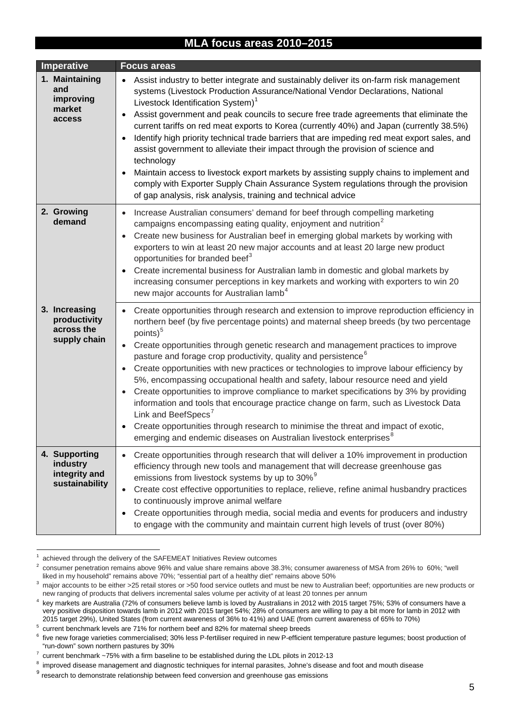# **MLA focus areas 2010–2015**

| Imperative                                                   | <b>Focus areas</b>                                                                                                                                                                                                                                                                                                                                                                                                                                                                                                                                                                                                                                                                                                                                                                                                                                                                                                                                                                                            |
|--------------------------------------------------------------|---------------------------------------------------------------------------------------------------------------------------------------------------------------------------------------------------------------------------------------------------------------------------------------------------------------------------------------------------------------------------------------------------------------------------------------------------------------------------------------------------------------------------------------------------------------------------------------------------------------------------------------------------------------------------------------------------------------------------------------------------------------------------------------------------------------------------------------------------------------------------------------------------------------------------------------------------------------------------------------------------------------|
| 1. Maintaining<br>and<br>improving<br>market<br>access       | Assist industry to better integrate and sustainably deliver its on-farm risk management<br>$\bullet$<br>systems (Livestock Production Assurance/National Vendor Declarations, National<br>Livestock Identification System) <sup>1</sup><br>Assist government and peak councils to secure free trade agreements that eliminate the<br>٠<br>current tariffs on red meat exports to Korea (currently 40%) and Japan (currently 38.5%)<br>Identify high priority technical trade barriers that are impeding red meat export sales, and<br>$\bullet$<br>assist government to alleviate their impact through the provision of science and<br>technology<br>Maintain access to livestock export markets by assisting supply chains to implement and<br>comply with Exporter Supply Chain Assurance System regulations through the provision<br>of gap analysis, risk analysis, training and technical advice                                                                                                         |
| 2. Growing<br>demand                                         | Increase Australian consumers' demand for beef through compelling marketing<br>$\bullet$<br>campaigns encompassing eating quality, enjoyment and nutrition <sup>2</sup><br>Create new business for Australian beef in emerging global markets by working with<br>$\bullet$<br>exporters to win at least 20 new major accounts and at least 20 large new product<br>opportunities for branded beef <sup>3</sup><br>Create incremental business for Australian lamb in domestic and global markets by<br>$\bullet$<br>increasing consumer perceptions in key markets and working with exporters to win 20<br>new major accounts for Australian lamb <sup>4</sup>                                                                                                                                                                                                                                                                                                                                                |
| 3. Increasing<br>productivity<br>across the<br>supply chain  | Create opportunities through research and extension to improve reproduction efficiency in<br>northern beef (by five percentage points) and maternal sheep breeds (by two percentage<br>points) <sup>5</sup><br>Create opportunities through genetic research and management practices to improve<br>$\bullet$<br>pasture and forage crop productivity, quality and persistence <sup>6</sup><br>Create opportunities with new practices or technologies to improve labour efficiency by<br>$\bullet$<br>5%, encompassing occupational health and safety, labour resource need and yield<br>Create opportunities to improve compliance to market specifications by 3% by providing<br>$\bullet$<br>information and tools that encourage practice change on farm, such as Livestock Data<br>Link and BeefSpecs <sup>'</sup><br>Create opportunities through research to minimise the threat and impact of exotic,<br>$\bullet$<br>emerging and endemic diseases on Australian livestock enterprises <sup>8</sup> |
| 4. Supporting<br>industry<br>integrity and<br>sustainability | Create opportunities through research that will deliver a 10% improvement in production<br>efficiency through new tools and management that will decrease greenhouse gas<br>emissions from livestock systems by up to 30% <sup>9</sup><br>Create cost effective opportunities to replace, relieve, refine animal husbandry practices<br>$\bullet$<br>to continuously improve animal welfare<br>Create opportunities through media, social media and events for producers and industry<br>٠<br>to engage with the community and maintain current high levels of trust (over 80%)                                                                                                                                                                                                                                                                                                                                                                                                                               |

 $1$  achieved through the delivery of the SAFEMEAT Initiatives Review outcomes

<span id="page-5-0"></span><sup>&</sup>lt;sup>2</sup> consumer penetration remains above 96% and value share remains above 38.3%; consumer awareness of MSA from 26% to 60%; "well liked in my household" remains above 70%; "essential part of a healthy diet" remains above 50%

<span id="page-5-1"></span><sup>&</sup>lt;sup>3</sup> maior accounts to be either >25 retail stores or >50 food service outlets and must be new to Australian beef; opportunities are new products or new ranging of products that delivers incremental sales volume per activity of at least 20 tonnes per annum

<span id="page-5-2"></span><sup>&</sup>lt;sup>4</sup> key markets are Australia (72% of consumers believe lamb is loved by Australians in 2012 with 2015 target 75%; 53% of consumers have a very positive disposition towards lamb in 2012 with 2015 target 54%; 28% of consumers are willing to pay a bit more for lamb in 2012 with 2015 target 29%), United States (from current awareness of 36% to 41%) and UAE (from current awareness of 65% to 70%)

<span id="page-5-3"></span> $5$  current benchmark levels are 71% for northern beef and 82% for maternal sheep breeds

<span id="page-5-4"></span><sup>&</sup>lt;sup>6</sup> five new forage varieties commercialised; 30% less P-fertiliser required in new P-efficient temperature pasture legumes; boost production of "run-down" sown northern pastures by 30%

<span id="page-5-5"></span><sup>7</sup> current benchmark ~75% with a firm baseline to be established during the LDL pilots in 2012-13

<span id="page-5-6"></span><sup>&</sup>lt;sup>8</sup> improved disease management and diagnostic techniques for internal parasites, Johne's disease and foot and mouth disease

<span id="page-5-7"></span><sup>&</sup>lt;sup>9</sup> research to demonstrate relationship between feed conversion and greenhouse gas emissions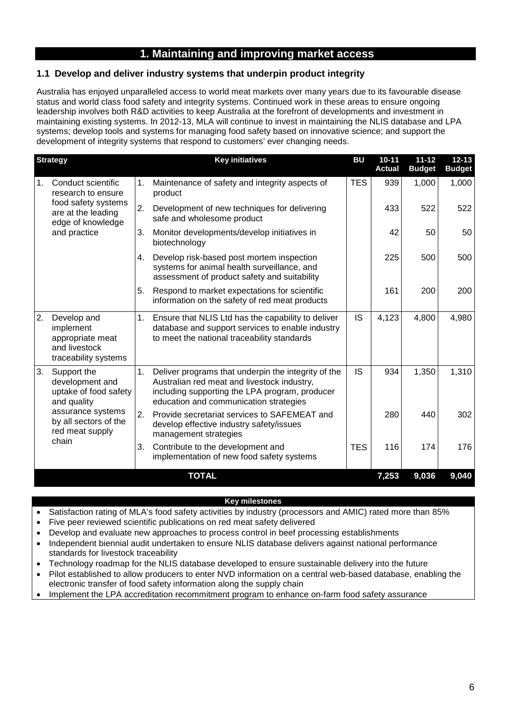# **1. Maintaining and improving market access**

# **1.1 Develop and deliver industry systems that underpin product integrity**

Australia has enjoyed unparalleled access to world meat markets over many years due to its favourable disease status and world class food safety and integrity systems. Continued work in these areas to ensure ongoing leadership involves both R&D activities to keep Australia at the forefront of developments and investment in maintaining existing systems. In 2012-13, MLA will continue to invest in maintaining the NLIS database and LPA systems; develop tools and systems for managing food safety based on innovative science; and support the development of integrity systems that respond to customers' ever changing needs.

|                | <b>Strategy</b>                                                                       |    | <b>Key initiatives</b>                                                                                                                                                                         | BU         | $10 - 11$<br><b>Actual</b> | $11 - 12$<br><b>Budget</b> | $12 - 13$<br><b>Budget</b> |
|----------------|---------------------------------------------------------------------------------------|----|------------------------------------------------------------------------------------------------------------------------------------------------------------------------------------------------|------------|----------------------------|----------------------------|----------------------------|
| $\mathbf{1}$ . | Conduct scientific<br>research to ensure                                              | 1. | Maintenance of safety and integrity aspects of<br>product                                                                                                                                      | <b>TES</b> | 939                        | 1,000                      | 1,000                      |
|                | food safety systems<br>are at the leading<br>edge of knowledge                        | 2. | Development of new techniques for delivering<br>safe and wholesome product                                                                                                                     |            | 433                        | 522                        | 522                        |
|                | and practice                                                                          | 3. | Monitor developments/develop initiatives in<br>biotechnology                                                                                                                                   |            | 42                         | 50                         | 50                         |
|                |                                                                                       | 4. | Develop risk-based post mortem inspection<br>systems for animal health surveillance, and<br>assessment of product safety and suitability                                                       |            | 225                        | 500                        | 500                        |
|                |                                                                                       | 5. | Respond to market expectations for scientific<br>information on the safety of red meat products                                                                                                |            | 161                        | 200                        | 200                        |
| 2.             | Develop and<br>implement<br>appropriate meat<br>and livestock<br>traceability systems | 1. | Ensure that NLIS Ltd has the capability to deliver<br>database and support services to enable industry<br>to meet the national traceability standards                                          | <b>IS</b>  | 4,123                      | 4,800                      | 4,980                      |
| 3.             | Support the<br>development and<br>uptake of food safety<br>and quality                |    | Deliver programs that underpin the integrity of the<br>Australian red meat and livestock industry,<br>including supporting the LPA program, producer<br>education and communication strategies | IS         | 934                        | 1,350                      | 1,310                      |
| chain          | assurance systems<br>by all sectors of the<br>red meat supply                         | 2. | Provide secretariat services to SAFEMEAT and<br>develop effective industry safety/issues<br>management strategies                                                                              |            | 280                        | 440                        | 302                        |
|                |                                                                                       | 3. | Contribute to the development and<br>implementation of new food safety systems                                                                                                                 | <b>TES</b> | 116                        | 174                        | 176                        |
|                |                                                                                       |    | <b>TOTAL</b>                                                                                                                                                                                   |            | 7,253                      | 9,036                      | 9,040                      |

- Satisfaction rating of MLA's food safety activities by industry (processors and AMIC) rated more than 85%
- Five peer reviewed scientific publications on red meat safety delivered
- Develop and evaluate new approaches to process control in beef processing establishments
- Independent biennial audit undertaken to ensure NLIS database delivers against national performance standards for livestock traceability
- Technology roadmap for the NLIS database developed to ensure sustainable delivery into the future
- Pilot established to allow producers to enter NVD information on a central web-based database, enabling the electronic transfer of food safety information along the supply chain
- Implement the LPA accreditation recommitment program to enhance on-farm food safety assurance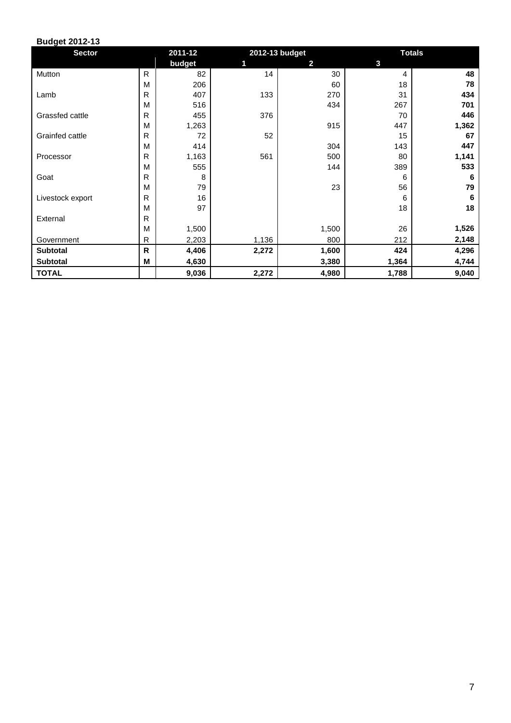| <b>Sector</b>    |              | 2011-12 |       | 2012-13 budget | <b>Totals</b> |       |  |  |
|------------------|--------------|---------|-------|----------------|---------------|-------|--|--|
|                  |              | budget  | 1     | $\mathbf{2}$   | 3             |       |  |  |
| Mutton           | $\mathsf{R}$ | 82      | 14    | 30             | 4             | 48    |  |  |
|                  | M            | 206     |       | 60             | 18            | 78    |  |  |
| Lamb             | R            | 407     | 133   | 270            | 31            | 434   |  |  |
|                  | M            | 516     |       | 434            | 267           | 701   |  |  |
| Grassfed cattle  | R            | 455     | 376   |                | 70            | 446   |  |  |
|                  | M            | 1,263   |       | 915            | 447           | 1,362 |  |  |
| Grainfed cattle  | $\mathsf{R}$ | 72      | 52    |                | 15            | 67    |  |  |
|                  | M            | 414     |       | 304            | 143           | 447   |  |  |
| Processor        | R            | 1,163   | 561   | 500            | 80            | 1,141 |  |  |
|                  | M            | 555     |       | 144            | 389           | 533   |  |  |
| Goat             | R            | 8       |       |                | 6             | 6     |  |  |
|                  | M            | 79      |       | 23             | 56            | 79    |  |  |
| Livestock export | R            | 16      |       |                | 6             | 6     |  |  |
|                  | M            | 97      |       |                | 18            | 18    |  |  |
| External         | R            |         |       |                |               |       |  |  |
|                  | M            | 1,500   |       | 1,500          | 26            | 1,526 |  |  |
| Government       | R            | 2,203   | 1,136 | 800            | 212           | 2,148 |  |  |
| <b>Subtotal</b>  | $\mathsf{R}$ | 4,406   | 2,272 | 1,600          | 424           | 4,296 |  |  |
| <b>Subtotal</b>  | м            | 4,630   |       | 3,380          | 1,364         | 4,744 |  |  |
| <b>TOTAL</b>     |              | 9,036   | 2,272 | 4,980          | 1,788         | 9,040 |  |  |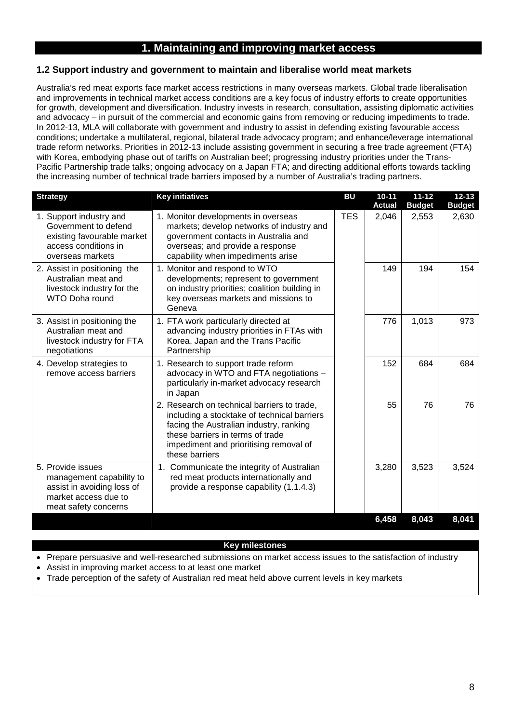# **1. Maintaining and improving market access**

# **1.2 Support industry and government to maintain and liberalise world meat markets**

Australia's red meat exports face market access restrictions in many overseas markets. Global trade liberalisation and improvements in technical market access conditions are a key focus of industry efforts to create opportunities for growth, development and diversification. Industry invests in research, consultation, assisting diplomatic activities and advocacy – in pursuit of the commercial and economic gains from removing or reducing impediments to trade. In 2012-13, MLA will collaborate with government and industry to assist in defending existing favourable access conditions; undertake a multilateral, regional, bilateral trade advocacy program; and enhance/leverage international trade reform networks. Priorities in 2012-13 include assisting government in securing a free trade agreement (FTA) with Korea, embodying phase out of tariffs on Australian beef; progressing industry priorities under the Trans-Pacific Partnership trade talks; ongoing advocacy on a Japan FTA; and directing additional efforts towards tackling the increasing number of technical trade barriers imposed by a number of Australia's trading partners.

| <b>Strategy</b>                                                                                                             | <b>Key initiatives</b>                                                                                                                                                                                                                | <b>BU</b>  | $10 - 11$<br><b>Actual</b> | $11 - 12$<br><b>Budget</b> | $12 - 13$<br><b>Budget</b> |
|-----------------------------------------------------------------------------------------------------------------------------|---------------------------------------------------------------------------------------------------------------------------------------------------------------------------------------------------------------------------------------|------------|----------------------------|----------------------------|----------------------------|
| 1. Support industry and<br>Government to defend<br>existing favourable market<br>access conditions in<br>overseas markets   | 1. Monitor developments in overseas<br>markets; develop networks of industry and<br>government contacts in Australia and<br>overseas; and provide a response<br>capability when impediments arise                                     | <b>TES</b> | 2,046                      | 2,553                      | 2,630                      |
| 2. Assist in positioning the<br>Australian meat and<br>livestock industry for the<br><b>WTO Doha round</b>                  | 1. Monitor and respond to WTO<br>developments; represent to government<br>on industry priorities; coalition building in<br>key overseas markets and missions to<br>Geneva                                                             |            | 149                        | 194                        | 154                        |
| 3. Assist in positioning the<br>Australian meat and<br>livestock industry for FTA<br>negotiations                           | 1. FTA work particularly directed at<br>advancing industry priorities in FTAs with<br>Korea, Japan and the Trans Pacific<br>Partnership                                                                                               |            | 776                        | 1,013                      | 973                        |
| 4. Develop strategies to<br>remove access barriers                                                                          | 1. Research to support trade reform<br>advocacy in WTO and FTA negotiations -<br>particularly in-market advocacy research<br>in Japan                                                                                                 |            | 152                        | 684                        | 684                        |
|                                                                                                                             | 2. Research on technical barriers to trade,<br>including a stocktake of technical barriers<br>facing the Australian industry, ranking<br>these barriers in terms of trade<br>impediment and prioritising removal of<br>these barriers |            | 55                         | 76                         | 76                         |
| 5. Provide issues<br>management capability to<br>assist in avoiding loss of<br>market access due to<br>meat safety concerns | 1. Communicate the integrity of Australian<br>red meat products internationally and<br>provide a response capability (1.1.4.3)                                                                                                        |            | 3,280                      | 3,523                      | 3,524                      |
|                                                                                                                             |                                                                                                                                                                                                                                       |            | 6,458                      | 8,043                      | 8,041                      |

#### **Key milestones**

• Prepare persuasive and well-researched submissions on market access issues to the satisfaction of industry

- Assist in improving market access to at least one market
- Trade perception of the safety of Australian red meat held above current levels in key markets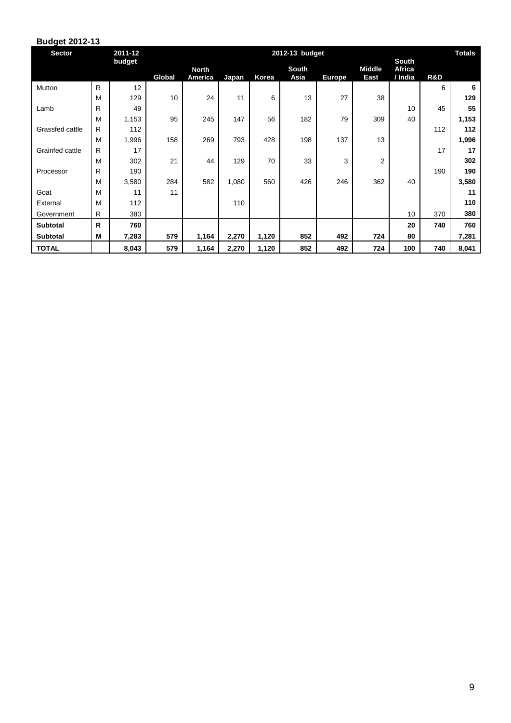| <b>Sector</b>   |    | 2011-12 | 2012-13 budget<br><b>South</b> |                         |              |       |               |               |                       | <b>Totals</b>     |     |       |
|-----------------|----|---------|--------------------------------|-------------------------|--------------|-------|---------------|---------------|-----------------------|-------------------|-----|-------|
|                 |    | budget  | Global                         | <b>North</b><br>America | <b>Japan</b> | Korea | South<br>Asia | <b>Europe</b> | <b>Middle</b><br>East | Africa<br>/ India | R&D |       |
| Mutton          | R  | 12      |                                |                         |              |       |               |               |                       |                   | 6   | 6     |
|                 | M  | 129     | 10                             | 24                      | 11           | 6     | 13            | 27            | 38                    |                   |     | 129   |
| Lamb            | R  | 49      |                                |                         |              |       |               |               |                       | 10                | 45  | 55    |
|                 | M  | 1,153   | 95                             | 245                     | 147          | 56    | 182           | 79            | 309                   | 40                |     | 1,153 |
| Grassfed cattle | R. | 112     |                                |                         |              |       |               |               |                       |                   | 112 | 112   |
|                 | M  | 1,996   | 158                            | 269                     | 793          | 428   | 198           | 137           | 13                    |                   |     | 1,996 |
| Grainfed cattle | R. | 17      |                                |                         |              |       |               |               |                       |                   | 17  | 17    |
|                 | M  | 302     | 21                             | 44                      | 129          | 70    | 33            | 3             | 2                     |                   |     | 302   |
| Processor       | R. | 190     |                                |                         |              |       |               |               |                       |                   | 190 | 190   |
|                 | M  | 3,580   | 284                            | 582                     | 1,080        | 560   | 426           | 246           | 362                   | 40                |     | 3,580 |
| Goat            | M  | 11      | 11                             |                         |              |       |               |               |                       |                   |     | 11    |
| External        | M  | 112     |                                |                         | 110          |       |               |               |                       |                   |     | 110   |
| Government      | R. | 380     |                                |                         |              |       |               |               |                       | 10                | 370 | 380   |
| <b>Subtotal</b> | R  | 760     |                                |                         |              |       |               |               |                       | 20                | 740 | 760   |
| <b>Subtotal</b> | М  | 7,283   | 579                            | 1,164                   | 2,270        | 1,120 | 852           | 492           | 724                   | 80                |     | 7,281 |
| <b>TOTAL</b>    |    | 8,043   | 579                            | 1,164                   | 2,270        | 1,120 | 852           | 492           | 724                   | 100               | 740 | 8,041 |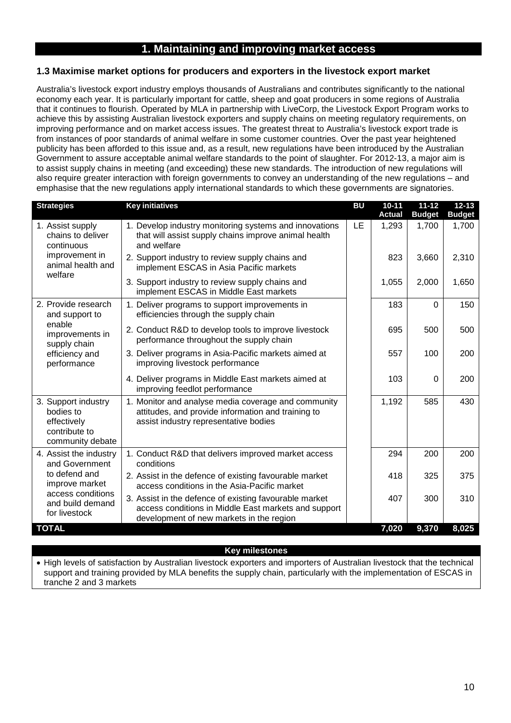# **1. Maintaining and improving market access**

### **1.3 Maximise market options for producers and exporters in the livestock export market**

Australia's livestock export industry employs thousands of Australians and contributes significantly to the national economy each year. It is particularly important for cattle, sheep and goat producers in some regions of Australia that it continues to flourish. Operated by MLA in partnership with LiveCorp, the Livestock Export Program works to achieve this by assisting Australian livestock exporters and supply chains on meeting regulatory requirements, on improving performance and on market access issues. The greatest threat to Australia's livestock export trade is from instances of poor standards of animal welfare in some customer countries. Over the past year heightened publicity has been afforded to this issue and, as a result, new regulations have been introduced by the Australian Government to assure acceptable animal welfare standards to the point of slaughter. For 2012-13, a major aim is to assist supply chains in meeting (and exceeding) these new standards. The introduction of new regulations will also require greater interaction with foreign governments to convey an understanding of the new regulations – and emphasise that the new regulations apply international standards to which these governments are signatories.

| <b>Key initiatives</b><br><b>Strategies</b>                                                                                                                                                                                                | <b>BU</b> | $10 - 11$<br><b>Actual</b> | $11 - 12$<br><b>Budget</b> | $12 - 13$<br><b>Budget</b> |
|--------------------------------------------------------------------------------------------------------------------------------------------------------------------------------------------------------------------------------------------|-----------|----------------------------|----------------------------|----------------------------|
| 1. Develop industry monitoring systems and innovations<br>1. Assist supply<br>chains to deliver<br>that will assist supply chains improve animal health<br>and welfare<br>continuous                                                       | LE        | 1,293                      | 1,700                      | 1,700                      |
| improvement in<br>2. Support industry to review supply chains and<br>animal health and<br>implement ESCAS in Asia Pacific markets<br>welfare                                                                                               |           | 823                        | 3,660                      | 2,310                      |
| 3. Support industry to review supply chains and<br>implement ESCAS in Middle East markets                                                                                                                                                  |           | 1,055                      | 2,000                      | 1,650                      |
| 2. Provide research<br>1. Deliver programs to support improvements in<br>efficiencies through the supply chain<br>and support to                                                                                                           |           | 183                        | $\Omega$                   | 150                        |
| enable<br>2. Conduct R&D to develop tools to improve livestock<br>improvements in<br>performance throughout the supply chain<br>supply chain                                                                                               |           | 695                        | 500                        | 500                        |
| 3. Deliver programs in Asia-Pacific markets aimed at<br>efficiency and<br>improving livestock performance<br>performance                                                                                                                   |           | 557                        | 100                        | 200                        |
| 4. Deliver programs in Middle East markets aimed at<br>improving feedlot performance                                                                                                                                                       |           | 103                        | $\Omega$                   | 200                        |
| 3. Support industry<br>1. Monitor and analyse media coverage and community<br>bodies to<br>attitudes, and provide information and training to<br>assist industry representative bodies<br>effectively<br>contribute to<br>community debate |           | 1,192                      | 585                        | 430                        |
| 1. Conduct R&D that delivers improved market access<br>4. Assist the industry<br>and Government<br>conditions                                                                                                                              |           | 294                        | 200                        | 200                        |
| to defend and<br>2. Assist in the defence of existing favourable market<br>improve market<br>access conditions in the Asia-Pacific market                                                                                                  |           | 418                        | 325                        | 375                        |
| access conditions<br>3. Assist in the defence of existing favourable market<br>and build demand<br>access conditions in Middle East markets and support<br>for livestock<br>development of new markets in the region                       |           | 407                        | 300                        | 310                        |
| <b>TOTAL</b>                                                                                                                                                                                                                               |           | 7,020                      | 9,370                      | 8,025                      |

#### **Key milestones**

• High levels of satisfaction by Australian livestock exporters and importers of Australian livestock that the technical support and training provided by MLA benefits the supply chain, particularly with the implementation of ESCAS in tranche 2 and 3 markets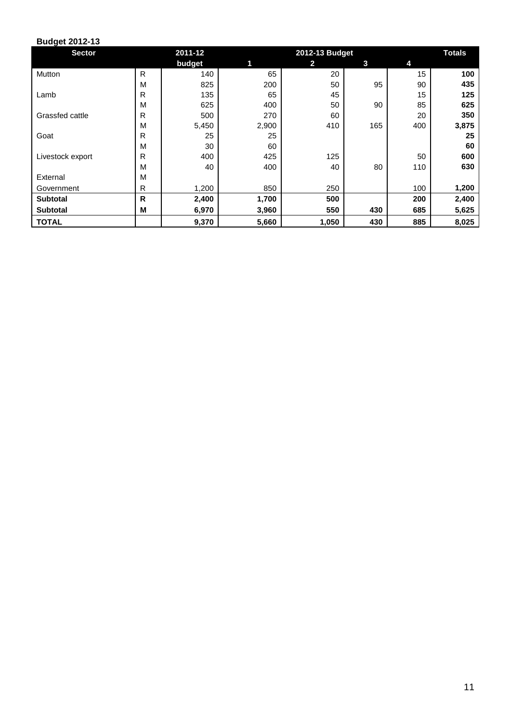| <b>Sector</b>    |              | 2011-12 | 2012-13 Budget |              |     |     | <b>Totals</b> |
|------------------|--------------|---------|----------------|--------------|-----|-----|---------------|
|                  |              | budget  | 1              | $\mathbf{2}$ | 3   | 4   |               |
| Mutton           | $\mathsf{R}$ | 140     | 65             | 20           |     | 15  | 100           |
|                  | M            | 825     | 200            | 50           | 95  | 90  | 435           |
| Lamb             | R            | 135     | 65             | 45           |     | 15  | 125           |
|                  | M            | 625     | 400            | 50           | 90  | 85  | 625           |
| Grassfed cattle  | R            | 500     | 270            | 60           |     | 20  | 350           |
|                  | M            | 5,450   | 2,900          | 410          | 165 | 400 | 3,875         |
| Goat             | R            | 25      | 25             |              |     |     | 25            |
|                  | M            | 30      | 60             |              |     |     | 60            |
| Livestock export | R            | 400     | 425            | 125          |     | 50  | 600           |
|                  | M            | 40      | 400            | 40           | 80  | 110 | 630           |
| External         | M            |         |                |              |     |     |               |
| Government       | R            | 1,200   | 850            | 250          |     | 100 | 1,200         |
| <b>Subtotal</b>  | $\mathsf{R}$ | 2,400   | 1,700          | 500          |     | 200 | 2,400         |
| <b>Subtotal</b>  | M            | 6,970   | 3,960          | 550          | 430 | 685 | 5,625         |
| <b>TOTAL</b>     |              | 9,370   | 5,660          | 1,050        | 430 | 885 | 8,025         |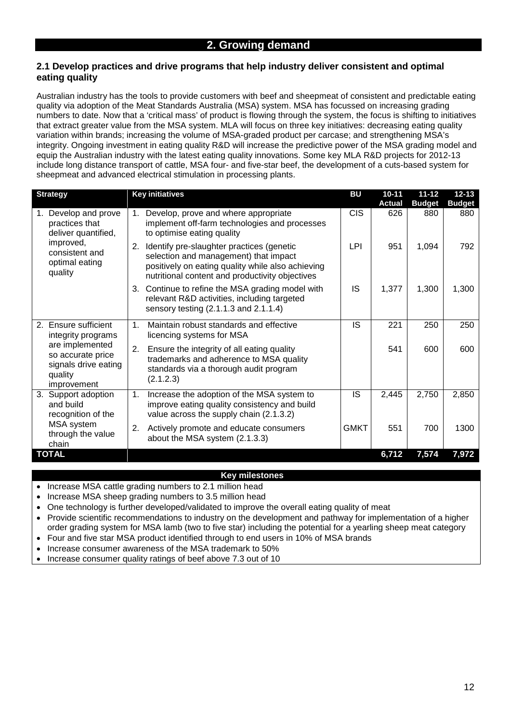## **2.1 Develop practices and drive programs that help industry deliver consistent and optimal eating quality**

Australian industry has the tools to provide customers with beef and sheepmeat of consistent and predictable eating quality via adoption of the Meat Standards Australia (MSA) system. MSA has focussed on increasing grading numbers to date. Now that a 'critical mass' of product is flowing through the system, the focus is shifting to initiatives that extract greater value from the MSA system. MLA will focus on three key initiatives: decreasing eating quality variation within brands; increasing the volume of MSA-graded product per carcase; and strengthening MSA's integrity. Ongoing investment in eating quality R&D will increase the predictive power of the MSA grading model and equip the Australian industry with the latest eating quality innovations. Some key MLA R&D projects for 2012-13 include long distance transport of cattle, MSA four- and five-star beef, the development of a cuts-based system for sheepmeat and advanced electrical stimulation in processing plants.

| <b>Strategy</b>                                                                                                        | <b>Key initiatives</b>                                                                                                                                                                           | <b>BU</b>   | $10 - 11$     | $11 - 12$     | $12 - 13$     |
|------------------------------------------------------------------------------------------------------------------------|--------------------------------------------------------------------------------------------------------------------------------------------------------------------------------------------------|-------------|---------------|---------------|---------------|
|                                                                                                                        |                                                                                                                                                                                                  |             | <b>Actual</b> | <b>Budget</b> | <b>Budget</b> |
| Develop and prove<br>practices that<br>deliver quantified,<br>improved,<br>consistent and<br>optimal eating<br>quality | Develop, prove and where appropriate<br>1.<br>implement off-farm technologies and processes<br>to optimise eating quality                                                                        | <b>CIS</b>  | 626           | 880           | 880           |
|                                                                                                                        | Identify pre-slaughter practices (genetic<br>2.<br>selection and management) that impact<br>positively on eating quality while also achieving<br>nutritional content and productivity objectives | LPI         | 951           | 1,094         | 792           |
|                                                                                                                        | Continue to refine the MSA grading model with<br>3.<br>relevant R&D activities, including targeted<br>sensory testing (2.1.1.3 and 2.1.1.4)                                                      | <b>IS</b>   | 1,377         | 1,300         | 1,300         |
| Ensure sufficient<br>2.<br>integrity programs                                                                          | Maintain robust standards and effective<br>$\mathbf 1$ .<br>licencing systems for MSA                                                                                                            | IS          | 221           | 250           | 250           |
| are implemented<br>so accurate price<br>signals drive eating<br>quality<br>improvement                                 | Ensure the integrity of all eating quality<br>2.<br>trademarks and adherence to MSA quality<br>standards via a thorough audit program<br>(2.1.2.3)                                               |             | 541           | 600           | 600           |
| 3.<br>Support adoption<br>and build<br>recognition of the<br>MSA system<br>through the value<br>chain                  | Increase the adoption of the MSA system to<br>1.<br>improve eating quality consistency and build<br>value across the supply chain (2.1.3.2)                                                      | IS          | 2,445         | 2,750         | 2,850         |
|                                                                                                                        | Actively promote and educate consumers<br>2.<br>about the MSA system (2.1.3.3)                                                                                                                   | <b>GMKT</b> | 551           | 700           | 1300          |
| <b>TOTAL</b>                                                                                                           |                                                                                                                                                                                                  |             | 6,712         | 7,574         | 7,972         |

- Increase MSA cattle grading numbers to 2.1 million head
- Increase MSA sheep grading numbers to 3.5 million head
- One technology is further developed/validated to improve the overall eating quality of meat
- Provide scientific recommendations to industry on the development and pathway for implementation of a higher order grading system for MSA lamb (two to five star) including the potential for a yearling sheep meat category
- Four and five star MSA product identified through to end users in 10% of MSA brands
- Increase consumer awareness of the MSA trademark to 50%
- Increase consumer quality ratings of beef above 7.3 out of 10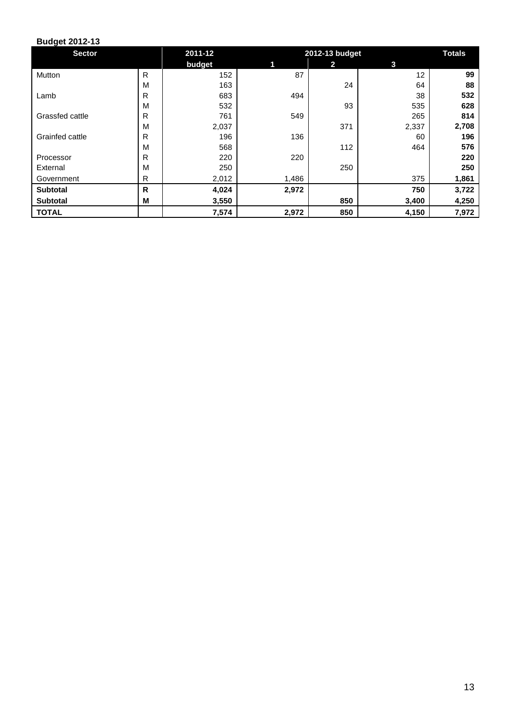| <b>Sector</b>   |   | 2011-12 | 2012-13 budget |                         |       | <b>Totals</b> |
|-----------------|---|---------|----------------|-------------------------|-------|---------------|
|                 |   | budget  | 1              | $\overline{\mathbf{2}}$ | 3     |               |
| Mutton          | R | 152     | 87             |                         | 12    | 99            |
|                 | M | 163     |                | 24                      | 64    | 88            |
| Lamb            | R | 683     | 494            |                         | 38    | 532           |
|                 | M | 532     |                | 93                      | 535   | 628           |
| Grassfed cattle | R | 761     | 549            |                         | 265   | 814           |
|                 | M | 2,037   |                | 371                     | 2,337 | 2,708         |
| Grainfed cattle | R | 196     | 136            |                         | 60    | 196           |
|                 | M | 568     |                | 112                     | 464   | 576           |
| Processor       | R | 220     | 220            |                         |       | 220           |
| External        | М | 250     |                | 250                     |       | 250           |
| Government      | R | 2,012   | 1,486          |                         | 375   | 1,861         |
| <b>Subtotal</b> | R | 4,024   | 2,972          |                         | 750   | 3,722         |
| <b>Subtotal</b> | M | 3,550   |                | 850                     | 3,400 | 4,250         |
| <b>TOTAL</b>    |   | 7,574   | 2,972          | 850                     | 4,150 | 7,972         |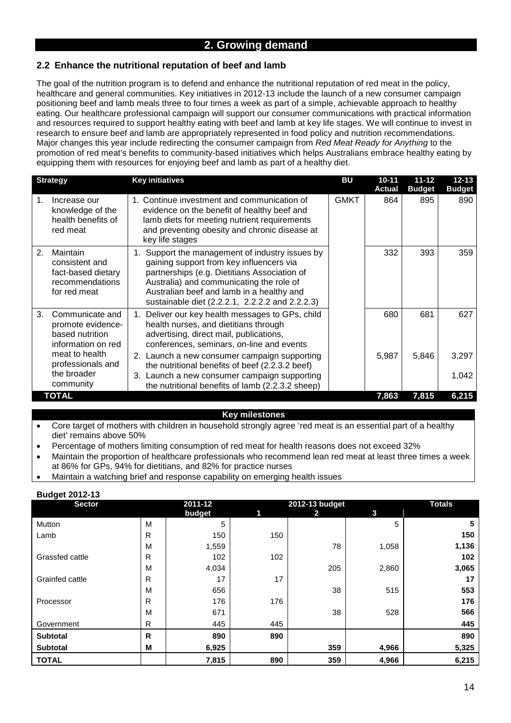# **2. Growing demand**

# **2.2 Enhance the nutritional reputation of beef and lamb**

The goal of the nutrition program is to defend and enhance the nutritional reputation of red meat in the policy, healthcare and general communities. Key initiatives in 2012-13 include the launch of a new consumer campaign positioning beef and lamb meals three to four times a week as part of a simple, achievable approach to healthy eating. Our healthcare professional campaign will support our consumer communications with practical information and resources required to support healthy eating with beef and lamb at key life stages. We will continue to invest in research to ensure beef and lamb are appropriately represented in food policy and nutrition recommendations. Major changes this year include redirecting the consumer campaign from *Red Meat Ready for Anything* to the promotion of red meat's benefits to community-based initiatives which helps Australians embrace healthy eating by equipping them with resources for enjoying beef and lamb as part of a healthy diet.

| <b>Strategy</b>                                                                           | <b>Key initiatives</b>                                                                                                                                                                                                                                                                  | BU          | $10 - 11$<br>Actual | $11 - 12$<br><b>Budget</b> | $12 - 13$<br><b>Budget</b> |
|-------------------------------------------------------------------------------------------|-----------------------------------------------------------------------------------------------------------------------------------------------------------------------------------------------------------------------------------------------------------------------------------------|-------------|---------------------|----------------------------|----------------------------|
| Increase our<br>1.<br>knowledge of the<br>health benefits of<br>red meat                  | 1. Continue investment and communication of<br>evidence on the benefit of healthy beef and<br>lamb diets for meeting nutrient requirements<br>and preventing obesity and chronic disease at<br>key life stages                                                                          | <b>GMKT</b> | 864                 | 895                        | 890                        |
| Maintain<br>2.<br>consistent and<br>fact-based dietary<br>recommendations<br>for red meat | 1. Support the management of industry issues by<br>gaining support from key influencers via<br>partnerships (e.g. Dietitians Association of<br>Australia) and communicating the role of<br>Australian beef and lamb in a healthy and<br>sustainable diet (2.2.2.1, 2.2.2.2 and 2.2.2.3) |             | 332                 | 393                        | 359                        |
| Communicate and<br>3.<br>promote evidence-<br>based nutrition<br>information on red       | 1. Deliver our key health messages to GPs, child<br>health nurses, and dietitians through<br>advertising, direct mail, publications,<br>conferences, seminars, on-line and events                                                                                                       |             | 680                 | 681                        | 627                        |
| meat to health<br>professionals and                                                       | 2. Launch a new consumer campaign supporting<br>the nutritional benefits of beef (2.2.3.2 beef)                                                                                                                                                                                         |             | 5,987               | 5,846                      | 3,297                      |
| the broader<br>community                                                                  | 3. Launch a new consumer campaign supporting<br>the nutritional benefits of lamb (2.2.3.2 sheep)                                                                                                                                                                                        |             |                     |                            | 1,042                      |
| <b>TOTAL</b>                                                                              |                                                                                                                                                                                                                                                                                         |             | 7,863               | 7,815                      | 6,215                      |

#### **Key milestones**

- Core target of mothers with children in household strongly agree 'red meat is an essential part of a healthy diet' remains above 50%
- Percentage of mothers limiting consumption of red meat for health reasons does not exceed 32%
- Maintain the proportion of healthcare professionals who recommend lean red meat at least three times a week at 86% for GPs, 94% for dietitians, and 82% for practice nurses
- Maintain a watching brief and response capability on emerging health issues

| Puugut ZVTZ-TV<br><b>Sector</b> |   | 2011-12 |     | 2012-13 budget |       | <b>Totals</b> |
|---------------------------------|---|---------|-----|----------------|-------|---------------|
|                                 |   | budget  | 1   | 2              | 3     |               |
| Mutton                          | M | 5       |     |                | 5     | 5             |
| Lamb                            | R | 150     | 150 |                |       | 150           |
|                                 | M | 1,559   |     | 78             | 1,058 | 1,136         |
| Grassfed cattle                 | R | 102     | 102 |                |       | 102           |
|                                 | M | 4,034   |     | 205            | 2,860 | 3,065         |
| Grainfed cattle                 | R | 17      | 17  |                |       | 17            |
|                                 | M | 656     |     | 38             | 515   | 553           |
| Processor                       | R | 176     | 176 |                |       | 176           |
|                                 | M | 671     |     | 38             | 528   | 566           |
| Government                      | R | 445     | 445 |                |       | 445           |
| <b>Subtotal</b>                 | R | 890     | 890 |                |       | 890           |
| <b>Subtotal</b>                 | M | 6,925   |     | 359            | 4,966 | 5,325         |
| <b>TOTAL</b>                    |   | 7,815   | 890 | 359            | 4,966 | 6,215         |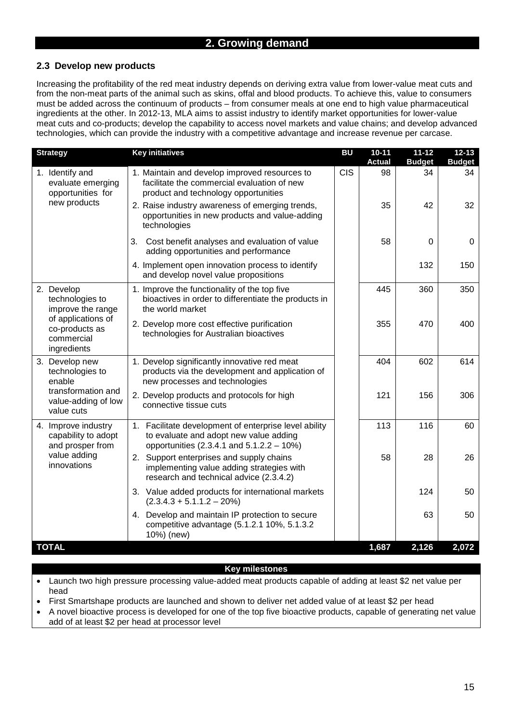# **2.3 Develop new products**

Increasing the profitability of the red meat industry depends on deriving extra value from lower-value meat cuts and from the non-meat parts of the animal such as skins, offal and blood products. To achieve this, value to consumers must be added across the continuum of products – from consumer meals at one end to high value pharmaceutical ingredients at the other. In 2012-13, MLA aims to assist industry to identify market opportunities for lower-value meat cuts and co-products; develop the capability to access novel markets and value chains; and develop advanced technologies, which can provide the industry with a competitive advantage and increase revenue per carcase.

| <b>Strategy</b>                                                   | <b>Key initiatives</b>                                                                                                                       | <b>BU</b>  | $10 - 11$<br><b>Actual</b> | $11 - 12$<br><b>Budget</b> | $12 - 13$<br><b>Budget</b> |
|-------------------------------------------------------------------|----------------------------------------------------------------------------------------------------------------------------------------------|------------|----------------------------|----------------------------|----------------------------|
| 1. Identify and<br>evaluate emerging<br>opportunities for         | 1. Maintain and develop improved resources to<br>facilitate the commercial evaluation of new<br>product and technology opportunities         | <b>CIS</b> | 98                         | 34                         | 34                         |
| new products                                                      | 2. Raise industry awareness of emerging trends,<br>opportunities in new products and value-adding<br>technologies                            |            | 35                         | 42                         | 32                         |
|                                                                   | 3.<br>Cost benefit analyses and evaluation of value<br>adding opportunities and performance                                                  |            | 58                         | $\Omega$                   | $\Omega$                   |
|                                                                   | 4. Implement open innovation process to identify<br>and develop novel value propositions                                                     |            |                            | 132                        | 150                        |
| 2. Develop<br>technologies to<br>improve the range                | 1. Improve the functionality of the top five<br>bioactives in order to differentiate the products in<br>the world market                     |            | 445                        | 360                        | 350                        |
| of applications of<br>co-products as<br>commercial<br>ingredients | 2. Develop more cost effective purification<br>technologies for Australian bioactives                                                        |            | 355                        | 470                        | 400                        |
| 3. Develop new<br>technologies to<br>enable                       | 1. Develop significantly innovative red meat<br>products via the development and application of<br>new processes and technologies            |            | 404                        | 602                        | 614                        |
| transformation and<br>value-adding of low<br>value cuts           | 2. Develop products and protocols for high<br>connective tissue cuts                                                                         |            | 121                        | 156                        | 306                        |
| 4. Improve industry<br>capability to adopt<br>and prosper from    | 1. Facilitate development of enterprise level ability<br>to evaluate and adopt new value adding<br>opportunities (2.3.4.1 and 5.1.2.2 - 10%) |            | 113                        | 116                        | 60                         |
| value adding<br>innovations                                       | 2. Support enterprises and supply chains<br>implementing value adding strategies with<br>research and technical advice (2.3.4.2)             |            | 58                         | 28                         | 26                         |
|                                                                   | 3. Value added products for international markets<br>$(2.3.4.3 + 5.1.1.2 - 20%)$                                                             |            |                            | 124                        | 50                         |
|                                                                   | 4. Develop and maintain IP protection to secure<br>competitive advantage (5.1.2.1 10%, 5.1.3.2<br>10%) (new)                                 |            |                            | 63                         | 50                         |
| <b>TOTAL</b>                                                      |                                                                                                                                              |            | 1,687                      | 2,126                      | 2,072                      |

- Launch two high pressure processing value-added meat products capable of adding at least \$2 net value per head
- First Smartshape products are launched and shown to deliver net added value of at least \$2 per head
- A novel bioactive process is developed for one of the top five bioactive products, capable of generating net value add of at least \$2 per head at processor level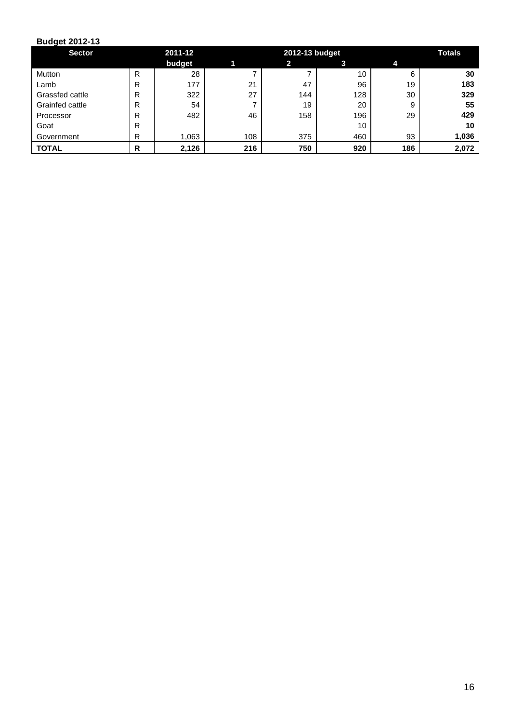| <b>Sector</b>   |   | 2011-12 | 2012-13 budget |     |     |     | <b>Totals</b> |
|-----------------|---|---------|----------------|-----|-----|-----|---------------|
|                 |   | budget  |                | 2   | 3   |     |               |
| Mutton          | R | 28      |                |     | 10  | 6   | 30            |
| Lamb            | R | 177     | 21             | 47  | 96  | 19  | 183           |
| Grassfed cattle | R | 322     | 27             | 144 | 128 | 30  | 329           |
| Grainfed cattle | R | 54      |                | 19  | 20  | 9   | 55            |
| Processor       | R | 482     | 46             | 158 | 196 | 29  | 429           |
| Goat            | R |         |                |     | 10  |     | 10            |
| Government      | R | 1,063   | 108            | 375 | 460 | 93  | 1,036         |
| <b>TOTAL</b>    | R | 2,126   | 216            | 750 | 920 | 186 | 2,072         |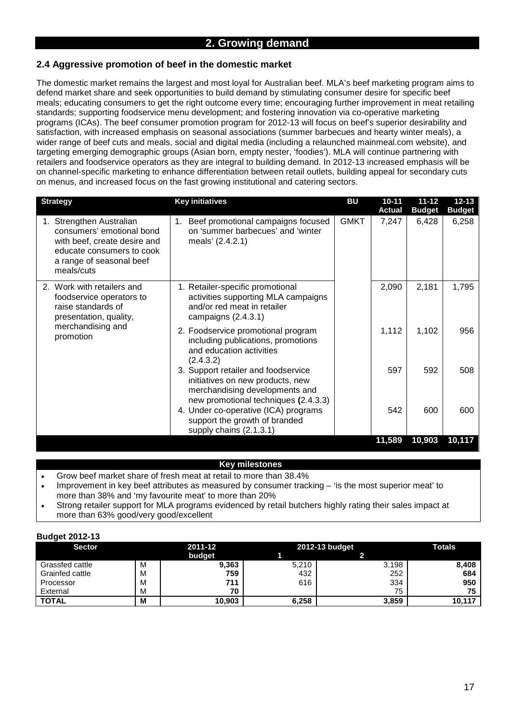# **2.4 Aggressive promotion of beef in the domestic market**

The domestic market remains the largest and most loyal for Australian beef. MLA's beef marketing program aims to defend market share and seek opportunities to build demand by stimulating consumer desire for specific beef meals; educating consumers to get the right outcome every time; encouraging further improvement in meat retailing standards; supporting foodservice menu development; and fostering innovation via co-operative marketing programs (ICAs). The beef consumer promotion program for 2012-13 will focus on beef's superior desirability and satisfaction, with increased emphasis on seasonal associations (summer barbecues and hearty winter meals), a wider range of beef cuts and meals, social and digital media (including a relaunched mainmeal.com website), and targeting emerging demographic groups (Asian born, empty nester, 'foodies'). MLA will continue partnering with retailers and foodservice operators as they are integral to building demand. In 2012-13 increased emphasis will be on channel-specific marketing to enhance differentiation between retail outlets, building appeal for secondary cuts on menus, and increased focus on the fast growing institutional and catering sectors.

| <b>Strategy</b>                                                                                                                                              | <b>Key initiatives</b>                                                                                                                            | <b>BU</b>   | $10 - 11$<br><b>Actual</b> | $11 - 12$<br><b>Budget</b> | $12 - 13$<br><b>Budget</b> |
|--------------------------------------------------------------------------------------------------------------------------------------------------------------|---------------------------------------------------------------------------------------------------------------------------------------------------|-------------|----------------------------|----------------------------|----------------------------|
| 1. Strengthen Australian<br>consumers' emotional bond<br>with beef, create desire and<br>educate consumers to cook<br>a range of seasonal beef<br>meals/cuts | Beef promotional campaigns focused<br>1.<br>on 'summer barbecues' and 'winter<br>meals' (2.4.2.1)                                                 | <b>GMKT</b> | 7,247                      | 6,428                      | 6,258                      |
| 2. Work with retailers and<br>foodservice operators to<br>raise standards of<br>presentation, quality,<br>merchandising and<br>promotion                     | 1. Retailer-specific promotional<br>activities supporting MLA campaigns<br>and/or red meat in retailer<br>campaigns $(2.4.3.1)$                   |             | 2,090                      | 2,181                      | 1,795                      |
|                                                                                                                                                              | 2. Foodservice promotional program<br>including publications, promotions<br>and education activities<br>(2.4.3.2)                                 |             | 1,112                      | 1,102                      | 956                        |
|                                                                                                                                                              | 3. Support retailer and foodservice<br>initiatives on new products, new<br>merchandising developments and<br>new promotional techniques (2.4.3.3) |             | 597                        | 592                        | 508                        |
|                                                                                                                                                              | 4. Under co-operative (ICA) programs<br>support the growth of branded<br>supply chains (2.1.3.1)                                                  |             | 542                        | 600                        | 600                        |
|                                                                                                                                                              |                                                                                                                                                   |             | 11,589                     | 10,903                     | 10,117                     |

### **Key milestones**

- Grow beef market share of fresh meat at retail to more than 38.4%
- Improvement in key beef attributes as measured by consumer tracking 'is the most superior meat' to more than 38% and 'my favourite meat' to more than 20%
- Strong retailer support for MLA programs evidenced by retail butchers highly rating their sales impact at more than 63% good/very good/excellent

| . .<br><b>Sector</b> |   | 2011-12 | 2012-13 budget | Totals |        |
|----------------------|---|---------|----------------|--------|--------|
|                      |   | budget  |                |        |        |
| Grassfed cattle      | M | 9,363   | 5,210          | 3,198  | 8,408  |
| Grainfed cattle      | М | 759     | 432            | 252    | 684    |
| Processor            | М | 711     | 616            | 334    | 950    |
| External             | М | 70      |                | 75     | 75     |
| <b>TOTAL</b>         | м | 10,903  | 6,258          | 3,859  | 10,117 |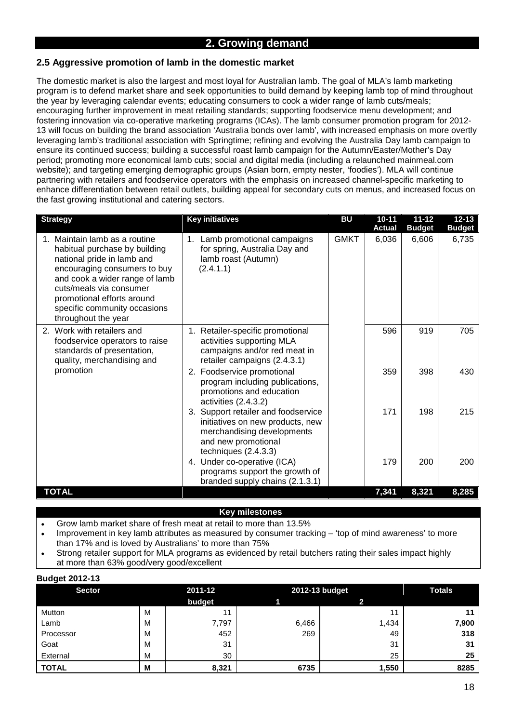# **2.5 Aggressive promotion of lamb in the domestic market**

The domestic market is also the largest and most loyal for Australian lamb. The goal of MLA's lamb marketing program is to defend market share and seek opportunities to build demand by keeping lamb top of mind throughout the year by leveraging calendar events; educating consumers to cook a wider range of lamb cuts/meals; encouraging further improvement in meat retailing standards; supporting foodservice menu development; and fostering innovation via co-operative marketing programs (ICAs). The lamb consumer promotion program for 2012- 13 will focus on building the brand association 'Australia bonds over lamb', with increased emphasis on more overtly leveraging lamb's traditional association with Springtime; refining and evolving the Australia Day lamb campaign to ensure its continued success; building a successful roast lamb campaign for the Autumn/Easter/Mother's Day period; promoting more economical lamb cuts; social and digital media (including a relaunched mainmeal.com website); and targeting emerging demographic groups (Asian born, empty nester, 'foodies'). MLA will continue partnering with retailers and foodservice operators with the emphasis on increased channel-specific marketing to enhance differentiation between retail outlets, building appeal for secondary cuts on menus, and increased focus on the fast growing institutional and catering sectors.

| <b>Strategy</b>                                                                                                                                                                                                                                                                | <b>Key initiatives</b>                                                                                                                               | <b>BU</b>   | $10 - 11$<br><b>Actual</b> | $11 - 12$<br><b>Budget</b> | $12 - 13$<br><b>Budget</b> |
|--------------------------------------------------------------------------------------------------------------------------------------------------------------------------------------------------------------------------------------------------------------------------------|------------------------------------------------------------------------------------------------------------------------------------------------------|-------------|----------------------------|----------------------------|----------------------------|
| 1. Maintain lamb as a routine<br>habitual purchase by building<br>national pride in lamb and<br>encouraging consumers to buy<br>and cook a wider range of lamb<br>cuts/meals via consumer<br>promotional efforts around<br>specific community occasions<br>throughout the year | 1. Lamb promotional campaigns<br>for spring, Australia Day and<br>lamb roast (Autumn)<br>(2.4.1.1)                                                   | <b>GMKT</b> | 6,036                      | 6,606                      | 6,735                      |
| 2. Work with retailers and<br>foodservice operators to raise<br>standards of presentation,<br>quality, merchandising and                                                                                                                                                       | Retailer-specific promotional<br>$1_{\cdot}$<br>activities supporting MLA<br>campaigns and/or red meat in<br>retailer campaigns (2.4.3.1)            |             | 596                        | 919                        | 705                        |
| promotion                                                                                                                                                                                                                                                                      | 2. Foodservice promotional<br>program including publications,<br>promotions and education<br>activities $(2.4.3.2)$                                  |             | 359                        | 398                        | 430                        |
|                                                                                                                                                                                                                                                                                | 3. Support retailer and foodservice<br>initiatives on new products, new<br>merchandising developments<br>and new promotional<br>techniques (2.4.3.3) |             | 171                        | 198                        | 215                        |
|                                                                                                                                                                                                                                                                                | 4. Under co-operative (ICA)<br>programs support the growth of<br>branded supply chains (2.1.3.1)                                                     |             | 179                        | 200                        | 200                        |
| <b>TOTAL</b>                                                                                                                                                                                                                                                                   |                                                                                                                                                      |             | 7,341                      | 8,321                      | 8,285                      |

- Grow lamb market share of fresh meat at retail to more than 13.5%
- Improvement in key lamb attributes as measured by consumer tracking 'top of mind awareness' to more than 17% and is loved by Australians' to more than 75%
- Strong retailer support for MLA programs as evidenced by retail butchers rating their sales impact highly at more than 63% good/very good/excellent

| . .<br><b>Sector</b> |   | 2011-12 |       | 2012-13 budget | <b>Totals</b> |  |
|----------------------|---|---------|-------|----------------|---------------|--|
|                      |   | budget  |       |                |               |  |
| Mutton               | M | 11      |       | 11             |               |  |
| Lamb                 | M | 7,797   | 6,466 | 1,434          | 7,900         |  |
| Processor            | M | 452     | 269   | 49             | 318           |  |
| Goat                 | M | 31      |       | 31             | 31            |  |
| External             | M | 30      |       | 25             | 25            |  |
| <b>TOTAL</b>         | M | 8,321   | 6735  | 1,550          | 8285          |  |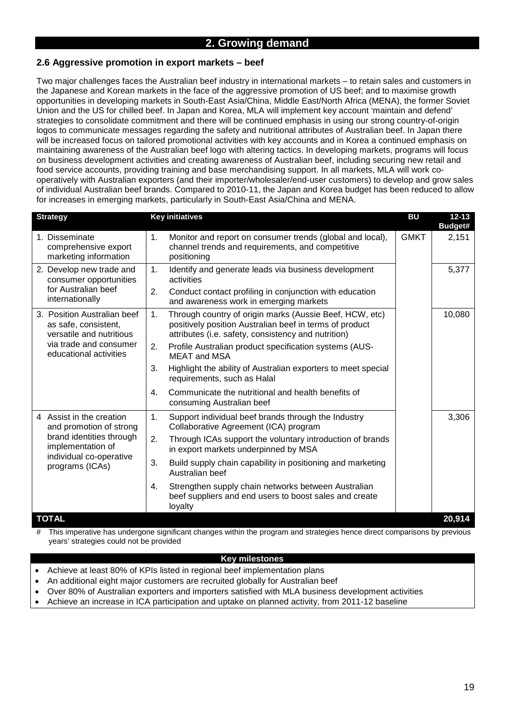# **2.6 Aggressive promotion in export markets – beef**

Two major challenges faces the Australian beef industry in international markets – to retain sales and customers in the Japanese and Korean markets in the face of the aggressive promotion of US beef; and to maximise growth opportunities in developing markets in South-East Asia/China, Middle East/North Africa (MENA), the former Soviet Union and the US for chilled beef. In Japan and Korea, MLA will implement key account 'maintain and defend' strategies to consolidate commitment and there will be continued emphasis in using our strong country-of-origin logos to communicate messages regarding the safety and nutritional attributes of Australian beef. In Japan there will be increased focus on tailored promotional activities with key accounts and in Korea a continued emphasis on maintaining awareness of the Australian beef logo with altering tactics. In developing markets, programs will focus on business development activities and creating awareness of Australian beef, including securing new retail and food service accounts, providing training and base merchandising support. In all markets, MLA will work cooperatively with Australian exporters (and their importer/wholesaler/end-user customers) to develop and grow sales of individual Australian beef brands. Compared to 2010-11, the Japan and Korea budget has been reduced to allow for increases in emerging markets, particularly in South-East Asia/China and MENA.

| <b>Strategy</b>                                                                 |    | <b>Key initiatives</b>                                                                                                                                                    | <b>BU</b>   | $12 - 13$<br>Budget# |
|---------------------------------------------------------------------------------|----|---------------------------------------------------------------------------------------------------------------------------------------------------------------------------|-------------|----------------------|
| 1. Disseminate<br>comprehensive export<br>marketing information                 | 1. | Monitor and report on consumer trends (global and local),<br>channel trends and requirements, and competitive<br>positioning                                              | <b>GMKT</b> | 2,151                |
| 2. Develop new trade and<br>consumer opportunities                              | 1. | Identify and generate leads via business development<br>activities                                                                                                        |             | 5,377                |
| for Australian beef<br>internationally                                          | 2. | Conduct contact profiling in conjunction with education<br>and awareness work in emerging markets                                                                         |             |                      |
| 3. Position Australian beef<br>as safe, consistent,<br>versatile and nutritious | 1. | Through country of origin marks (Aussie Beef, HCW, etc)<br>positively position Australian beef in terms of product<br>attributes (i.e. safety, consistency and nutrition) |             | 10,080               |
| via trade and consumer<br>educational activities                                | 2. | Profile Australian product specification systems (AUS-<br><b>MEAT and MSA</b>                                                                                             |             |                      |
|                                                                                 | 3. | Highlight the ability of Australian exporters to meet special<br>requirements, such as Halal                                                                              |             |                      |
|                                                                                 | 4. | Communicate the nutritional and health benefits of<br>consuming Australian beef                                                                                           |             |                      |
| 4 Assist in the creation<br>and promotion of strong                             | 1. | Support individual beef brands through the Industry<br>Collaborative Agreement (ICA) program                                                                              |             | 3,306                |
| brand identities through<br>implementation of                                   | 2. | Through ICAs support the voluntary introduction of brands<br>in export markets underpinned by MSA                                                                         |             |                      |
| individual co-operative<br>programs (ICAs)                                      | 3. | Build supply chain capability in positioning and marketing<br>Australian beef                                                                                             |             |                      |
|                                                                                 | 4. | Strengthen supply chain networks between Australian<br>beef suppliers and end users to boost sales and create<br>loyalty                                                  |             |                      |
| <b>TOTAL</b>                                                                    |    |                                                                                                                                                                           |             | 20,914               |

# This imperative has undergone significant changes within the program and strategies hence direct comparisons by previous years' strategies could not be provided

- Achieve at least 80% of KPIs listed in regional beef implementation plans
- An additional eight major customers are recruited globally for Australian beef
- Over 80% of Australian exporters and importers satisfied with MLA business development activities
- Achieve an increase in ICA participation and uptake on planned activity, from 2011-12 baseline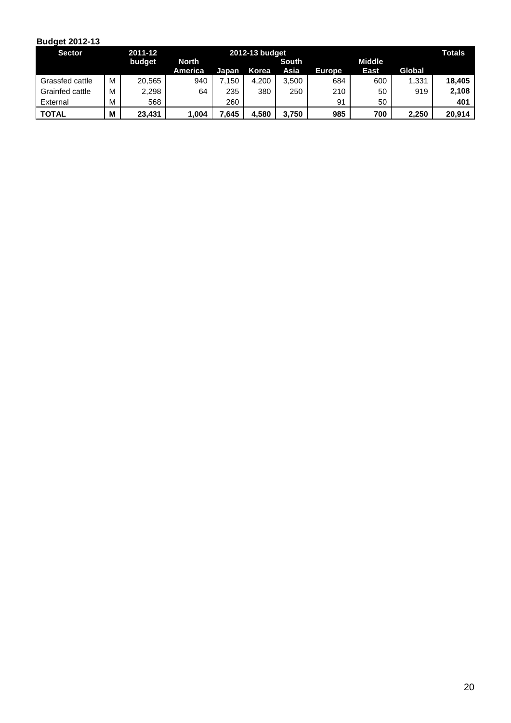| <b>Sector</b>   |   | 2011-12 |              | 2012-13 budget |       |       |               |             |        |        |  |
|-----------------|---|---------|--------------|----------------|-------|-------|---------------|-------------|--------|--------|--|
|                 |   | budget  | <b>North</b> | South          |       |       | <b>Middle</b> |             |        |        |  |
|                 |   |         | America      | Japan          | Korea | Asia  | <b>Europe</b> | <b>East</b> | Global |        |  |
| Grassfed cattle | M | 20,565  | 940          | .150           | 4.200 | 3,500 | 684           | 600         | 1,331  | 18.405 |  |
| Grainfed cattle | М | 2,298   | 64           | 235            | 380   | 250   | 210           | 50          | 919    | 2,108  |  |
| External        | M | 568     |              | 260            |       |       | 91            | 50          |        | 401    |  |
| <b>TOTAL</b>    | M | 23.431  | .004         | .645           | 4.580 | 3.750 | 985           | 700         | 2.250  | 20.914 |  |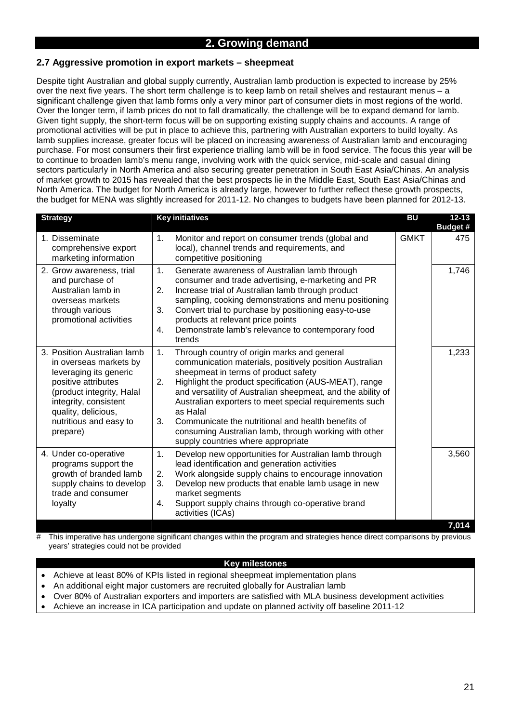# **2.7 Aggressive promotion in export markets – sheepmeat**

Despite tight Australian and global supply currently, Australian lamb production is expected to increase by 25% over the next five years. The short term challenge is to keep lamb on retail shelves and restaurant menus – a significant challenge given that lamb forms only a very minor part of consumer diets in most regions of the world. Over the longer term, if lamb prices do not to fall dramatically, the challenge will be to expand demand for lamb. Given tight supply, the short-term focus will be on supporting existing supply chains and accounts. A range of promotional activities will be put in place to achieve this, partnering with Australian exporters to build loyalty. As lamb supplies increase, greater focus will be placed on increasing awareness of Australian lamb and encouraging purchase. For most consumers their first experience trialling lamb will be in food service. The focus this year will be to continue to broaden lamb's menu range, involving work with the quick service, mid-scale and casual dining sectors particularly in North America and also securing greater penetration in South East Asia/Chinas. An analysis of market growth to 2015 has revealed that the best prospects lie in the Middle East, South East Asia/Chinas and North America. The budget for North America is already large, however to further reflect these growth prospects, the budget for MENA was slightly increased for 2011-12. No changes to budgets have been planned for 2012-13.

| <b>Strategy</b>                                                                                                                                                                     | <b>Key initiatives</b>                                                                                                                                                                                                                                                                                                                                                                                | <b>BU</b>   | $12 - 13$<br><b>Budget #</b> |
|-------------------------------------------------------------------------------------------------------------------------------------------------------------------------------------|-------------------------------------------------------------------------------------------------------------------------------------------------------------------------------------------------------------------------------------------------------------------------------------------------------------------------------------------------------------------------------------------------------|-------------|------------------------------|
| 1. Disseminate<br>comprehensive export<br>marketing information                                                                                                                     | 1.<br>Monitor and report on consumer trends (global and<br>local), channel trends and requirements, and<br>competitive positioning                                                                                                                                                                                                                                                                    | <b>GMKT</b> | 475                          |
| 2. Grow awareness, trial<br>and purchase of<br>Australian lamb in<br>overseas markets<br>through various<br>promotional activities                                                  | 1.<br>Generate awareness of Australian lamb through<br>consumer and trade advertising, e-marketing and PR<br>2.<br>Increase trial of Australian lamb through product<br>sampling, cooking demonstrations and menu positioning<br>3.<br>Convert trial to purchase by positioning easy-to-use<br>products at relevant price points<br>Demonstrate lamb's relevance to contemporary food<br>4.<br>trends |             | 1,746                        |
| 3. Position Australian lamb<br>in overseas markets by<br>leveraging its generic<br>positive attributes<br>(product integrity, Halal<br>integrity, consistent<br>quality, delicious, | 1.<br>Through country of origin marks and general<br>communication materials, positively position Australian<br>sheepmeat in terms of product safety<br>Highlight the product specification (AUS-MEAT), range<br>2.<br>and versatility of Australian sheepmeat, and the ability of<br>Australian exporters to meet special requirements such<br>as Halal                                              |             | 1,233                        |
| nutritious and easy to<br>prepare)                                                                                                                                                  | Communicate the nutritional and health benefits of<br>3.<br>consuming Australian lamb, through working with other<br>supply countries where appropriate                                                                                                                                                                                                                                               |             |                              |
| 4. Under co-operative<br>programs support the<br>growth of branded lamb<br>supply chains to develop<br>trade and consumer<br>loyalty                                                | 1.<br>Develop new opportunities for Australian lamb through<br>lead identification and generation activities<br>Work alongside supply chains to encourage innovation<br>2.<br>Develop new products that enable lamb usage in new<br>3.<br>market segments<br>Support supply chains through co-operative brand<br>4.<br>activities (ICAs)                                                              |             | 3,560                        |
|                                                                                                                                                                                     |                                                                                                                                                                                                                                                                                                                                                                                                       |             | 7,014                        |

This imperative has undergone significant changes within the program and strategies hence direct comparisons by previous years' strategies could not be provided

- Achieve at least 80% of KPIs listed in regional sheepmeat implementation plans
- An additional eight major customers are recruited globally for Australian lamb
- Over 80% of Australian exporters and importers are satisfied with MLA business development activities
- Achieve an increase in ICA participation and update on planned activity off baseline 2011-12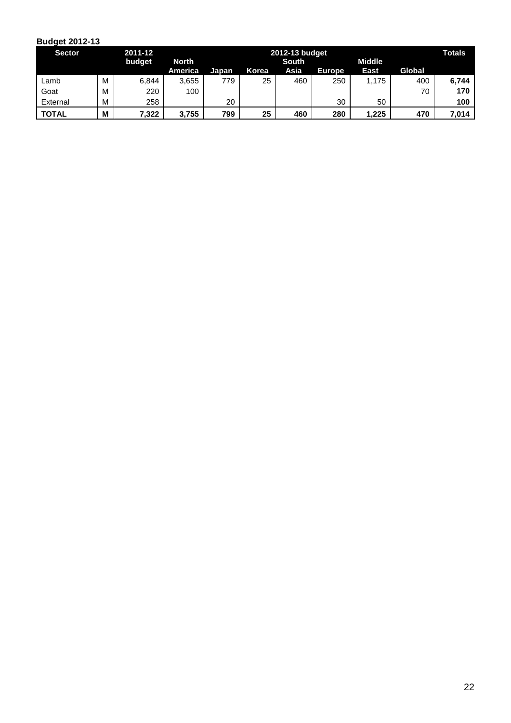| <b>Sector</b> |   | 2011-12 |         |       | 2012-13 budget |      |               |             |        |       |
|---------------|---|---------|---------|-------|----------------|------|---------------|-------------|--------|-------|
|               |   | budget  | North   |       | <b>South</b>   |      | <b>Middle</b> |             |        |       |
|               |   |         | America | Japan | Korea          | Asia | <b>Europe</b> | <b>East</b> | Global |       |
| Lamb          | M | 6,844   | 3,655   | 779   | 25             | 460  | 250           | 1,175       | 400    | 6,744 |
| Goat          | M | 220     | 100     |       |                |      |               |             | 70     | 170   |
| External      | M | 258     |         | 20    |                |      | 30            | 50          |        | 100   |
| <b>TOTAL</b>  | M | 7,322   | 3.755   | 799   | 25             | 460  | 280           | 1,225       | 470    | 7.014 |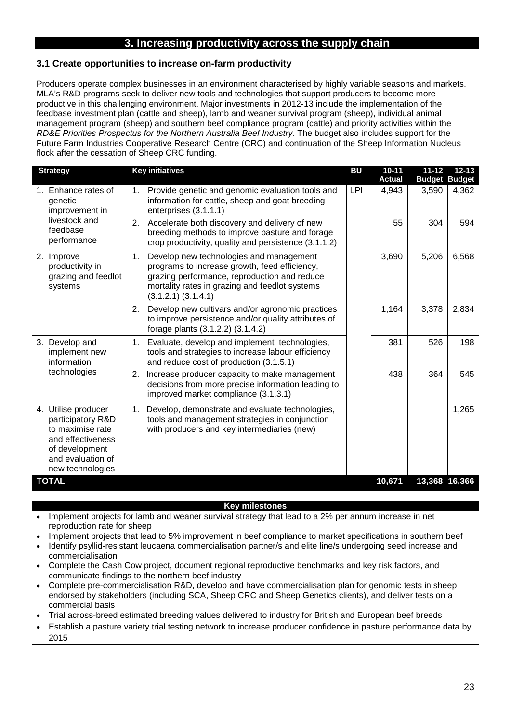# **3. Increasing productivity across the supply chain**

### **3.1 Create opportunities to increase on-farm productivity**

Producers operate complex businesses in an environment characterised by highly variable seasons and markets. MLA's R&D programs seek to deliver new tools and technologies that support producers to become more productive in this challenging environment. Major investments in 2012-13 include the implementation of the feedbase investment plan (cattle and sheep), lamb and weaner survival program (sheep), individual animal management program (sheep) and southern beef compliance program (cattle) and priority activities within the *RD&E Priorities Prospectus for the Northern Australia Beef Industry*. The budget also includes support for the Future Farm Industries Cooperative Research Centre (CRC) and continuation of the Sheep Information Nucleus flock after the cessation of Sheep CRC funding.

| <b>Strategy</b>                                                                                                                              | <b>Key initiatives</b>                                                                                                                                                                                                      | <b>BU</b>  | $10 - 11$     | $11 - 12$            | $12 - 13$ |
|----------------------------------------------------------------------------------------------------------------------------------------------|-----------------------------------------------------------------------------------------------------------------------------------------------------------------------------------------------------------------------------|------------|---------------|----------------------|-----------|
|                                                                                                                                              |                                                                                                                                                                                                                             |            | <b>Actual</b> | <b>Budget Budget</b> |           |
| 1. Enhance rates of<br>genetic<br>improvement in                                                                                             | Provide genetic and genomic evaluation tools and<br>1.<br>information for cattle, sheep and goat breeding<br>enterprises (3.1.1.1)                                                                                          | <b>LPI</b> | 4,943         | 3,590                | 4,362     |
| livestock and<br>feedbase<br>performance                                                                                                     | Accelerate both discovery and delivery of new<br>2.<br>breeding methods to improve pasture and forage<br>crop productivity, quality and persistence (3.1.1.2)                                                               |            | 55            | 304                  | 594       |
| 2. Improve<br>productivity in<br>grazing and feedlot<br>systems                                                                              | Develop new technologies and management<br>1.<br>programs to increase growth, feed efficiency,<br>grazing performance, reproduction and reduce<br>mortality rates in grazing and feedlot systems<br>$(3.1.2.1)$ $(3.1.4.1)$ |            | 3,690         | 5,206                | 6,568     |
|                                                                                                                                              | Develop new cultivars and/or agronomic practices<br>2.<br>to improve persistence and/or quality attributes of<br>forage plants (3.1.2.2) (3.1.4.2)                                                                          |            | 1,164         | 3,378                | 2,834     |
| 3. Develop and<br>implement new<br>information                                                                                               | Evaluate, develop and implement technologies,<br>1.<br>tools and strategies to increase labour efficiency<br>and reduce cost of production (3.1.5.1)                                                                        |            | 381           | 526                  | 198       |
| technologies                                                                                                                                 | Increase producer capacity to make management<br>2.<br>decisions from more precise information leading to<br>improved market compliance (3.1.3.1)                                                                           |            | 438           | 364                  | 545       |
| 4. Utilise producer<br>participatory R&D<br>to maximise rate<br>and effectiveness<br>of development<br>and evaluation of<br>new technologies | Develop, demonstrate and evaluate technologies,<br>1.<br>tools and management strategies in conjunction<br>with producers and key intermediaries (new)                                                                      |            |               |                      | 1,265     |
| <b>TOTAL</b>                                                                                                                                 |                                                                                                                                                                                                                             |            | 10,671        | 13,368 16,366        |           |

- Implement projects for lamb and weaner survival strategy that lead to a 2% per annum increase in net reproduction rate for sheep
- Implement projects that lead to 5% improvement in beef compliance to market specifications in southern beef • Identify psyllid-resistant leucaena commercialisation partner/s and elite line/s undergoing seed increase and commercialisation
- Complete the Cash Cow project, document regional reproductive benchmarks and key risk factors, and communicate findings to the northern beef industry
- Complete pre-commercialisation R&D, develop and have commercialisation plan for genomic tests in sheep endorsed by stakeholders (including SCA, Sheep CRC and Sheep Genetics clients), and deliver tests on a commercial basis
- Trial across-breed estimated breeding values delivered to industry for British and European beef breeds
- Establish a pasture variety trial testing network to increase producer confidence in pasture performance data by 2015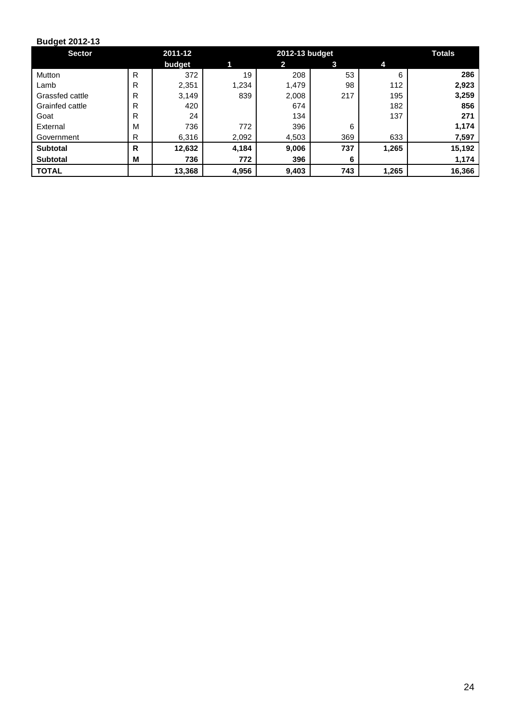| <b>Sector</b>   |   | 2011-12 |       | 2012-13 budget |     |       |        |  |
|-----------------|---|---------|-------|----------------|-----|-------|--------|--|
|                 |   | budget  |       | $\mathbf{2}$   | 3   | 4     |        |  |
| Mutton          | R | 372     | 19    | 208            | 53  | 6     | 286    |  |
| Lamb            | R | 2,351   | 1,234 | 1,479          | 98  | 112   | 2,923  |  |
| Grassfed cattle | R | 3,149   | 839   | 2,008          | 217 | 195   | 3,259  |  |
| Grainfed cattle | R | 420     |       | 674            |     | 182   | 856    |  |
| Goat            | R | 24      |       | 134            |     | 137   | 271    |  |
| External        | M | 736     | 772   | 396            | 6   |       | 1,174  |  |
| Government      | R | 6,316   | 2,092 | 4,503          | 369 | 633   | 7,597  |  |
| <b>Subtotal</b> | R | 12,632  | 4,184 | 9,006          | 737 | 1,265 | 15,192 |  |
| <b>Subtotal</b> | M | 736     | 772   | 396            | 6   |       | 1,174  |  |
| <b>TOTAL</b>    |   | 13,368  | 4,956 | 9,403          | 743 | 1,265 | 16,366 |  |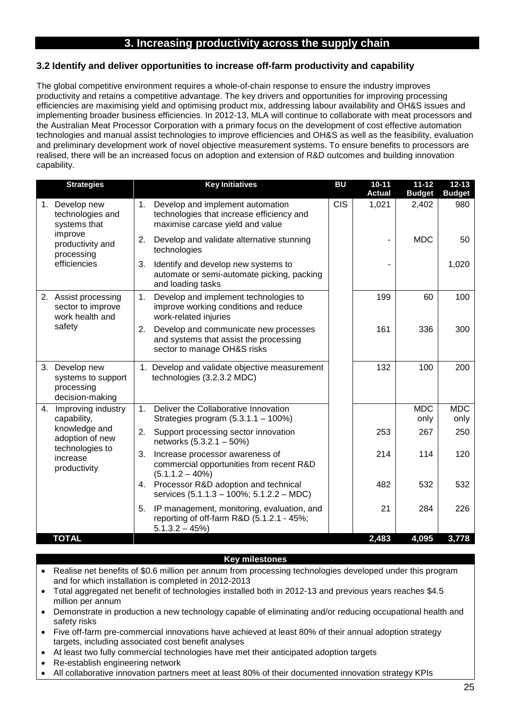# **3. Increasing productivity across the supply chain**

## **3.2 Identify and deliver opportunities to increase off-farm productivity and capability**

The global competitive environment requires a whole-of-chain response to ensure the industry improves productivity and retains a competitive advantage. The key drivers and opportunities for improving processing efficiencies are maximising yield and optimising product mix, addressing labour availability and OH&S issues and implementing broader business efficiencies. In 2012-13, MLA will continue to collaborate with meat processors and the Australian Meat Processor Corporation with a primary focus on the development of cost effective automation technologies and manual assist technologies to improve efficiencies and OH&S as well as the feasibility, evaluation and preliminary development work of novel objective measurement systems. To ensure benefits to processors are realised, there will be an increased focus on adoption and extension of R&D outcomes and building innovation capability.

| <b>Strategies</b>                                                     | <b>Key Initiatives</b>                                                                                                  | <b>BU</b>  | $10 - 11$<br><b>Actual</b> | $11 - 12$<br><b>Budget</b> | $12 - 13$<br><b>Budget</b> |
|-----------------------------------------------------------------------|-------------------------------------------------------------------------------------------------------------------------|------------|----------------------------|----------------------------|----------------------------|
| 1. Develop new<br>technologies and<br>systems that                    | Develop and implement automation<br>1.<br>technologies that increase efficiency and<br>maximise carcase yield and value | <b>CIS</b> | 1,021                      | 2,402                      | 980                        |
| improve<br>productivity and<br>processing<br>efficiencies             | Develop and validate alternative stunning<br>2.<br>technologies                                                         |            | -                          | <b>MDC</b>                 | 50                         |
|                                                                       | 3.<br>Identify and develop new systems to<br>automate or semi-automate picking, packing<br>and loading tasks            |            |                            |                            | 1,020                      |
| 2. Assist processing<br>sector to improve<br>work health and          | Develop and implement technologies to<br>1.<br>improve working conditions and reduce<br>work-related injuries           |            | 199                        | 60                         | 100                        |
| safety                                                                | Develop and communicate new processes<br>2.<br>and systems that assist the processing<br>sector to manage OH&S risks    |            | 161                        | 336                        | 300                        |
| 3. Develop new<br>systems to support<br>processing<br>decision-making | 1. Develop and validate objective measurement<br>technologies (3.2.3.2 MDC)                                             |            | 132                        | 100                        | 200                        |
| 4. Improving industry<br>capability,                                  | Deliver the Collaborative Innovation<br>1.<br>Strategies program $(5.3.1.1 - 100\%)$                                    |            |                            | <b>MDC</b><br>only         | <b>MDC</b><br>only         |
| knowledge and<br>adoption of new                                      | Support processing sector innovation<br>2.<br>networks (5.3.2.1 - 50%)                                                  |            | 253                        | 267                        | 250                        |
| technologies to<br>increase<br>productivity                           | 3.<br>Increase processor awareness of<br>commercial opportunities from recent R&D<br>$(5.1.1.2 - 40%)$                  |            | 214                        | 114                        | 120                        |
|                                                                       | Processor R&D adoption and technical<br>4.<br>services (5.1.1.3 - 100%; 5.1.2.2 - MDC)                                  |            | 482                        | 532                        | 532                        |
|                                                                       | IP management, monitoring, evaluation, and<br>5.<br>reporting of off-farm R&D (5.1.2.1 - 45%;<br>$5.1.3.2 - 45\%)$      |            | 21                         | 284                        | 226                        |
| <b>TOTAL</b>                                                          |                                                                                                                         |            | 2,483                      | 4,095                      | 3,778                      |

- Realise net benefits of \$0.6 million per annum from processing technologies developed under this program and for which installation is completed in 2012-2013
- Total aggregated net benefit of technologies installed both in 2012-13 and previous years reaches \$4.5 million per annum
- Demonstrate in production a new technology capable of eliminating and/or reducing occupational health and safety risks
- Five off-farm pre-commercial innovations have achieved at least 80% of their annual adoption strategy targets, including associated cost benefit analyses
- At least two fully commercial technologies have met their anticipated adoption targets
- Re-establish engineering network
- All collaborative innovation partners meet at least 80% of their documented innovation strategy KPIs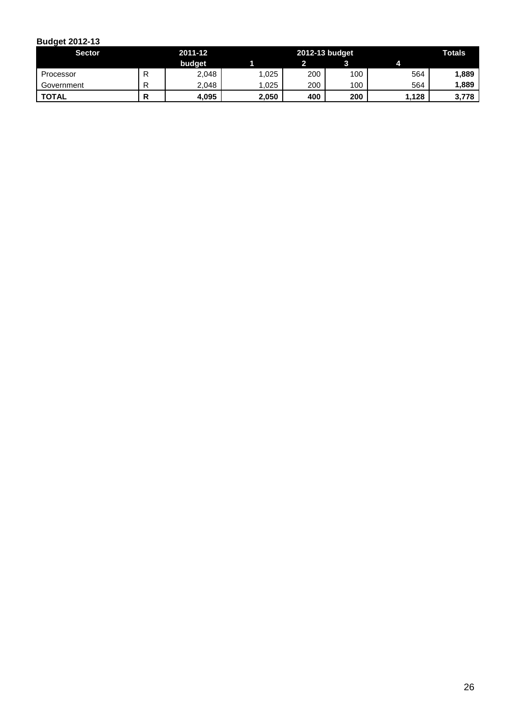| <b>Sector</b> |    | 2011-12 |       | 2012-13 budget |     | <b>Totals</b> |       |
|---------------|----|---------|-------|----------------|-----|---------------|-------|
|               |    | budget  |       |                |     |               |       |
| Processor     |    | 2,048   | .025  | 200            | 100 | 564           | 1,889 |
| Government    | רו | 2.048   | .025  | 200            | 100 | 564           | 1,889 |
| <b>TOTAL</b>  |    | 4,095   | 2,050 | 400            | 200 | .128          | 3,778 |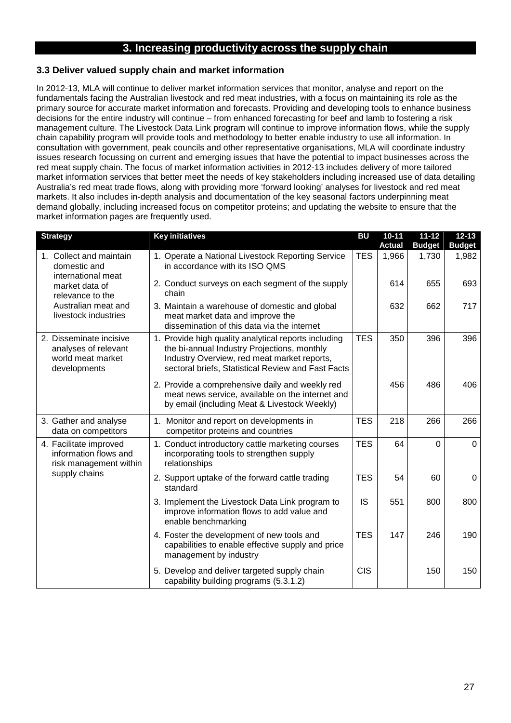# **3. Increasing productivity across the supply chain**

# **3.3 Deliver valued supply chain and market information**

In 2012-13, MLA will continue to deliver market information services that monitor, analyse and report on the fundamentals facing the Australian livestock and red meat industries, with a focus on maintaining its role as the primary source for accurate market information and forecasts. Providing and developing tools to enhance business decisions for the entire industry will continue – from enhanced forecasting for beef and lamb to fostering a risk management culture. The Livestock Data Link program will continue to improve information flows, while the supply chain capability program will provide tools and methodology to better enable industry to use all information. In consultation with government, peak councils and other representative organisations, MLA will coordinate industry issues research focussing on current and emerging issues that have the potential to impact businesses across the red meat supply chain. The focus of market information activities in 2012-13 includes delivery of more tailored market information services that better meet the needs of key stakeholders including increased use of data detailing Australia's red meat trade flows, along with providing more 'forward looking' analyses for livestock and red meat markets. It also includes in-depth analysis and documentation of the key seasonal factors underpinning meat demand globally, including increased focus on competitor proteins; and updating the website to ensure that the market information pages are frequently used.

| <b>Strategy</b>                                                                      | <b>Key initiatives</b>                                                                                                                                                                                   | <b>BU</b>  | $10 - 11$     | $11 - 12$      | $12 - 13$     |
|--------------------------------------------------------------------------------------|----------------------------------------------------------------------------------------------------------------------------------------------------------------------------------------------------------|------------|---------------|----------------|---------------|
|                                                                                      |                                                                                                                                                                                                          |            | <b>Actual</b> | <b>Budget</b>  | <b>Budget</b> |
| 1. Collect and maintain<br>domestic and<br>international meat                        | 1. Operate a National Livestock Reporting Service<br>in accordance with its ISO QMS                                                                                                                      | <b>TES</b> | 1,966         | 1,730          | 1,982         |
| market data of<br>relevance to the                                                   | 2. Conduct surveys on each segment of the supply<br>chain                                                                                                                                                |            | 614           | 655            | 693           |
| Australian meat and<br>livestock industries                                          | 3. Maintain a warehouse of domestic and global<br>meat market data and improve the<br>dissemination of this data via the internet                                                                        |            | 632           | 662            | 717           |
| 2. Disseminate incisive<br>analyses of relevant<br>world meat market<br>developments | 1. Provide high quality analytical reports including<br>the bi-annual Industry Projections, monthly<br>Industry Overview, red meat market reports,<br>sectoral briefs, Statistical Review and Fast Facts | <b>TES</b> | 350           | 396            | 396           |
|                                                                                      | 2. Provide a comprehensive daily and weekly red<br>meat news service, available on the internet and<br>by email (including Meat & Livestock Weekly)                                                      |            | 456           | 486            | 406           |
| 3. Gather and analyse<br>data on competitors                                         | 1. Monitor and report on developments in<br>competitor proteins and countries                                                                                                                            | <b>TES</b> | 218           | 266            | 266           |
| 4. Facilitate improved<br>information flows and<br>risk management within            | 1. Conduct introductory cattle marketing courses<br>incorporating tools to strengthen supply<br>relationships                                                                                            | <b>TES</b> | 64            | $\overline{0}$ | $\mathbf 0$   |
| supply chains                                                                        | 2. Support uptake of the forward cattle trading<br>standard                                                                                                                                              | <b>TES</b> | 54            | 60             | 0             |
|                                                                                      | 3. Implement the Livestock Data Link program to<br>improve information flows to add value and<br>enable benchmarking                                                                                     | IS         | 551           | 800            | 800           |
|                                                                                      | 4. Foster the development of new tools and<br>capabilities to enable effective supply and price<br>management by industry                                                                                | <b>TES</b> | 147           | 246            | 190           |
|                                                                                      | 5. Develop and deliver targeted supply chain<br>capability building programs (5.3.1.2)                                                                                                                   | <b>CIS</b> |               | 150            | 150           |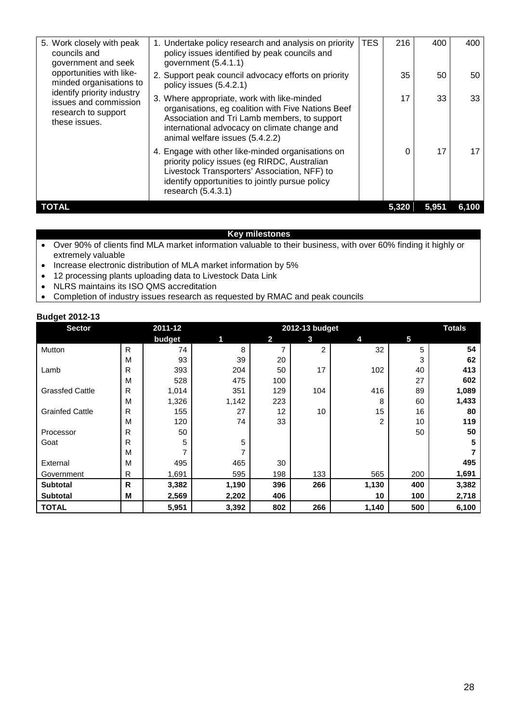| 5. Work closely with peak<br>councils and<br>government and seek<br>opportunities with like-<br>minded organisations to<br>identify priority industry<br>issues and commission<br>research to support<br>these issues. | 1. Undertake policy research and analysis on priority<br>policy issues identified by peak councils and<br>government (5.4.1.1)                                                                                                       | TES | 216   | 400   | 400   |
|------------------------------------------------------------------------------------------------------------------------------------------------------------------------------------------------------------------------|--------------------------------------------------------------------------------------------------------------------------------------------------------------------------------------------------------------------------------------|-----|-------|-------|-------|
|                                                                                                                                                                                                                        | 2. Support peak council advocacy efforts on priority<br>policy issues (5.4.2.1)                                                                                                                                                      |     | 35    | 50    | 50    |
|                                                                                                                                                                                                                        | 3. Where appropriate, work with like-minded<br>organisations, eg coalition with Five Nations Beef<br>Association and Tri Lamb members, to support<br>international advocacy on climate change and<br>animal welfare issues (5.4.2.2) |     | 17    | 33    | 33    |
|                                                                                                                                                                                                                        | 4. Engage with other like-minded organisations on<br>priority policy issues (eg RIRDC, Australian<br>Livestock Transporters' Association, NFF) to<br>identify opportunities to jointly pursue policy<br>research $(5.4.3.1)$         |     | 0     | 17    |       |
| TOTAL                                                                                                                                                                                                                  |                                                                                                                                                                                                                                      |     | 5.320 | 5.951 | 6,100 |

### **Key milestones**

- Over 90% of clients find MLA market information valuable to their business, with over 60% finding it highly or extremely valuable
- Increase electronic distribution of MLA market information by 5%
- 12 processing plants uploading data to Livestock Data Link<br>• NLRS maintains its ISO QMS accreditation
- NLRS maintains its ISO QMS accreditation
- Completion of industry issues research as requested by RMAC and peak councils

| <b>Sector</b>          |              | 2011-12 |       |                         | 2012-13 budget |                |     | <b>Totals</b> |
|------------------------|--------------|---------|-------|-------------------------|----------------|----------------|-----|---------------|
|                        |              | budget  | 11    | $\overline{\mathbf{2}}$ | 3              | 4              | 5   |               |
| Mutton                 | $\mathsf{R}$ | 74      | 8     | $\overline{ }$          | 2              | 32             | 5   | 54            |
|                        | M            | 93      | 39    | 20                      |                |                | 3   | 62            |
| Lamb                   | R            | 393     | 204   | 50                      | 17             | 102            | 40  | 413           |
|                        | M            | 528     | 475   | 100                     |                |                | 27  | 602           |
| <b>Grassfed Cattle</b> | R            | 1,014   | 351   | 129                     | 104            | 416            | 89  | 1,089         |
|                        | M            | 1,326   | 1,142 | 223                     |                | 8              | 60  | 1,433         |
| <b>Grainfed Cattle</b> | R            | 155     | 27    | 12                      | 10             | 15             | 16  | 80            |
|                        | M            | 120     | 74    | 33                      |                | $\overline{2}$ | 10  | 119           |
| Processor              | R            | 50      |       |                         |                |                | 50  | 50            |
| Goat                   | R            | 5       | 5     |                         |                |                |     | 5             |
|                        | M            |         | 7     |                         |                |                |     |               |
| External               | M            | 495     | 465   | 30                      |                |                |     | 495           |
| Government             | R            | 1,691   | 595   | 198                     | 133            | 565            | 200 | 1,691         |
| <b>Subtotal</b>        | $\mathsf{R}$ | 3,382   | 1,190 | 396                     | 266            | 1,130          | 400 | 3,382         |
| <b>Subtotal</b>        | M            | 2,569   | 2,202 | 406                     |                | 10             | 100 | 2,718         |
| <b>TOTAL</b>           |              | 5,951   | 3,392 | 802                     | 266            | 1,140          | 500 | 6,100         |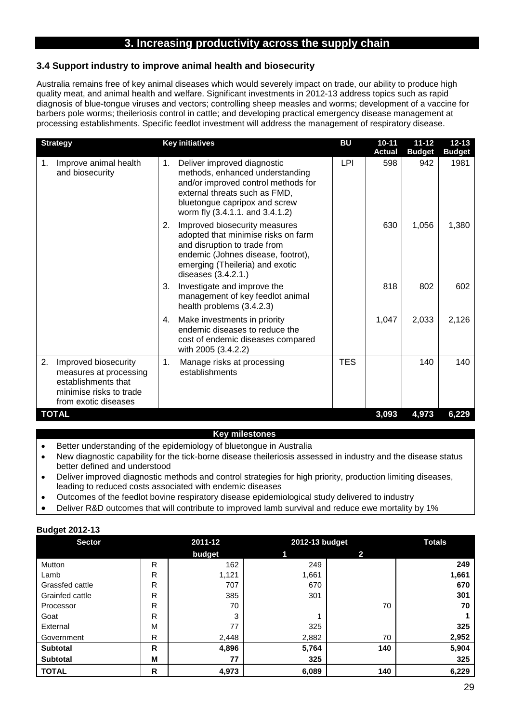# **3. Increasing productivity across the supply chain**

### **3.4 Support industry to improve animal health and biosecurity**

Australia remains free of key animal diseases which would severely impact on trade, our ability to produce high quality meat, and animal health and welfare. Significant investments in 2012-13 address topics such as rapid diagnosis of blue-tongue viruses and vectors; controlling sheep measles and worms; development of a vaccine for barbers pole worms; theileriosis control in cattle; and developing practical emergency disease management at processing establishments. Specific feedlot investment will address the management of respiratory disease.

| <b>Strategy</b>                                                                                                                | <b>Key initiatives</b>                                                                                                                                                                                           | <b>BU</b>  | $10 - 11$<br><b>Actual</b> | $11 - 12$<br><b>Budget</b> | $12 - 13$<br><b>Budget</b> |
|--------------------------------------------------------------------------------------------------------------------------------|------------------------------------------------------------------------------------------------------------------------------------------------------------------------------------------------------------------|------------|----------------------------|----------------------------|----------------------------|
| Improve animal health<br>1.<br>and biosecurity                                                                                 | 1.<br>Deliver improved diagnostic<br>methods, enhanced understanding<br>and/or improved control methods for<br>external threats such as FMD,<br>bluetongue capripox and screw<br>worm fly (3.4.1.1. and 3.4.1.2) | <b>LPI</b> | 598                        | 942                        | 1981                       |
|                                                                                                                                | Improved biosecurity measures<br>2.<br>adopted that minimise risks on farm<br>and disruption to trade from<br>endemic (Johnes disease, footrot),<br>emerging (Theileria) and exotic<br>diseases (3.4.2.1.)       |            | 630                        | 1,056                      | 1,380                      |
|                                                                                                                                | Investigate and improve the<br>3.<br>management of key feedlot animal<br>health problems (3.4.2.3)                                                                                                               |            | 818                        | 802                        | 602                        |
|                                                                                                                                | Make investments in priority<br>4.<br>endemic diseases to reduce the<br>cost of endemic diseases compared<br>with 2005 (3.4.2.2)                                                                                 |            | 1,047                      | 2,033                      | 2,126                      |
| 2.<br>Improved biosecurity<br>measures at processing<br>establishments that<br>minimise risks to trade<br>from exotic diseases | 1.<br>Manage risks at processing<br>establishments                                                                                                                                                               | <b>TES</b> |                            | 140                        | 140                        |
| <b>TOTAL</b>                                                                                                                   |                                                                                                                                                                                                                  |            | 3,093                      | 4,973                      | 6,229                      |

- Better understanding of the epidemiology of bluetongue in Australia
- New diagnostic capability for the tick-borne disease theileriosis assessed in industry and the disease status better defined and understood
- Deliver improved diagnostic methods and control strategies for high priority, production limiting diseases, leading to reduced costs associated with endemic diseases
- Outcomes of the feedlot bovine respiratory disease epidemiological study delivered to industry
- Deliver R&D outcomes that will contribute to improved lamb survival and reduce ewe mortality by 1%

| <b>Budget 2012-13</b> |  |
|-----------------------|--|
|                       |  |

| <b>Sector</b>   |   | 2011-12 |       | 2012-13 budget |       |
|-----------------|---|---------|-------|----------------|-------|
|                 |   | budget  | 1     | 2              |       |
| Mutton          | R | 162     | 249   |                | 249   |
| Lamb            | R | 1,121   | 1,661 |                | 1,661 |
| Grassfed cattle | R | 707     | 670   |                | 670   |
| Grainfed cattle | R | 385     | 301   |                | 301   |
| Processor       | R | 70      |       | 70             | 70    |
| Goat            | R | 3       |       |                |       |
| External        | M | 77      | 325   |                | 325   |
| Government      | R | 2,448   | 2,882 | 70             | 2,952 |
| <b>Subtotal</b> | R | 4,896   | 5,764 | 140            | 5,904 |
| <b>Subtotal</b> | M | 77      | 325   |                | 325   |
| <b>TOTAL</b>    | R | 4,973   | 6,089 | 140            | 6,229 |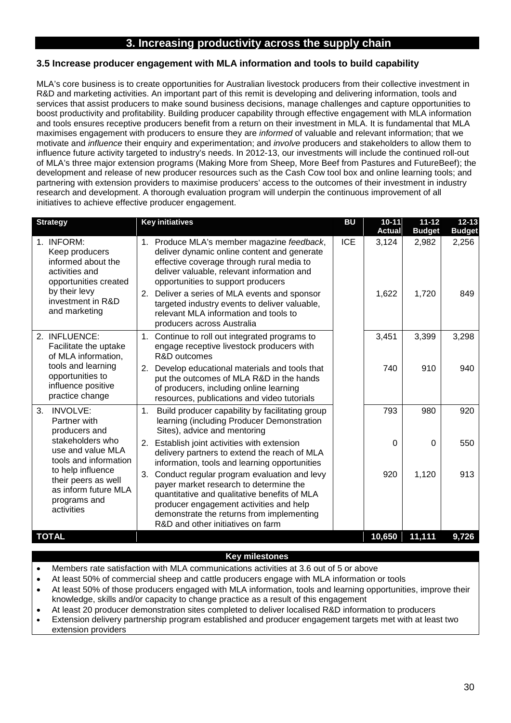# **3. Increasing productivity across the supply chain**

### **3.5 Increase producer engagement with MLA information and tools to build capability**

MLA's core business is to create opportunities for Australian livestock producers from their collective investment in R&D and marketing activities. An important part of this remit is developing and delivering information, tools and services that assist producers to make sound business decisions, manage challenges and capture opportunities to boost productivity and profitability. Building producer capability through effective engagement with MLA information and tools ensures receptive producers benefit from a return on their investment in MLA. It is fundamental that MLA maximises engagement with producers to ensure they are *informed* of valuable and relevant information; that we motivate and *influence* their enquiry and experimentation; and *involve* producers and stakeholders to allow them to influence future activity targeted to industry's needs. In 2012-13, our investments will include the continued roll-out of MLA's three major extension programs (Making More from Sheep, More Beef from Pastures and FutureBeef); the development and release of new producer resources such as the Cash Cow tool box and online learning tools; and partnering with extension providers to maximise producers' access to the outcomes of their investment in industry research and development. A thorough evaluation program will underpin the continuous improvement of all initiatives to achieve effective producer engagement.

| <b>Strategy</b>                                                                                                                                                  | <b>Key initiatives</b>                                                                                                                                                                                                                                                                                                                                                                                 | <b>BU</b>  | $10 - 11$      | $11 - 12$      | $12 - 13$     |
|------------------------------------------------------------------------------------------------------------------------------------------------------------------|--------------------------------------------------------------------------------------------------------------------------------------------------------------------------------------------------------------------------------------------------------------------------------------------------------------------------------------------------------------------------------------------------------|------------|----------------|----------------|---------------|
|                                                                                                                                                                  |                                                                                                                                                                                                                                                                                                                                                                                                        |            | <b>Actual</b>  | <b>Budget</b>  | <b>Budget</b> |
| 1. INFORM:<br>Keep producers<br>informed about the<br>activities and<br>opportunities created<br>by their levy<br>investment in R&D<br>and marketing             | 1. Produce MLA's member magazine feedback,<br>deliver dynamic online content and generate<br>effective coverage through rural media to<br>deliver valuable, relevant information and<br>opportunities to support producers<br>Deliver a series of MLA events and sponsor<br>2.<br>targeted industry events to deliver valuable,<br>relevant MLA information and tools to<br>producers across Australia | <b>ICE</b> | 3,124<br>1,622 | 2,982<br>1,720 | 2,256<br>849  |
| 2. INFLUENCE:<br>Facilitate the uptake<br>of MLA information,                                                                                                    | 1. Continue to roll out integrated programs to<br>engage receptive livestock producers with<br>R&D outcomes                                                                                                                                                                                                                                                                                            |            | 3,451          | 3,399          | 3,298         |
| tools and learning<br>opportunities to<br>influence positive<br>practice change                                                                                  | 2. Develop educational materials and tools that<br>put the outcomes of MLA R&D in the hands<br>of producers, including online learning<br>resources, publications and video tutorials                                                                                                                                                                                                                  |            | 740            | 910            | 940           |
| 3.<br><b>INVOLVE:</b><br>Partner with<br>producers and                                                                                                           | 1.<br>Build producer capability by facilitating group<br>learning (including Producer Demonstration<br>Sites), advice and mentoring                                                                                                                                                                                                                                                                    |            | 793            | 980            | 920           |
| stakeholders who<br>use and value MLA<br>tools and information<br>to help influence<br>their peers as well<br>as inform future MLA<br>programs and<br>activities | 2.<br>Establish joint activities with extension<br>delivery partners to extend the reach of MLA<br>information, tools and learning opportunities                                                                                                                                                                                                                                                       |            | $\Omega$       | $\Omega$       | 550           |
|                                                                                                                                                                  | 3.<br>Conduct regular program evaluation and levy<br>payer market research to determine the<br>quantitative and qualitative benefits of MLA<br>producer engagement activities and help<br>demonstrate the returns from implementing<br>R&D and other initiatives on farm                                                                                                                               |            | 920            | 1,120          | 913           |
| <b>TOTAL</b>                                                                                                                                                     |                                                                                                                                                                                                                                                                                                                                                                                                        |            | 10,650         | 11,111         | 9,726         |

- Members rate satisfaction with MLA communications activities at 3.6 out of 5 or above
- At least 50% of commercial sheep and cattle producers engage with MLA information or tools
- At least 50% of those producers engaged with MLA information, tools and learning opportunities, improve their knowledge, skills and/or capacity to change practice as a result of this engagement
- At least 20 producer demonstration sites completed to deliver localised R&D information to producers
- Extension delivery partnership program established and producer engagement targets met with at least two extension providers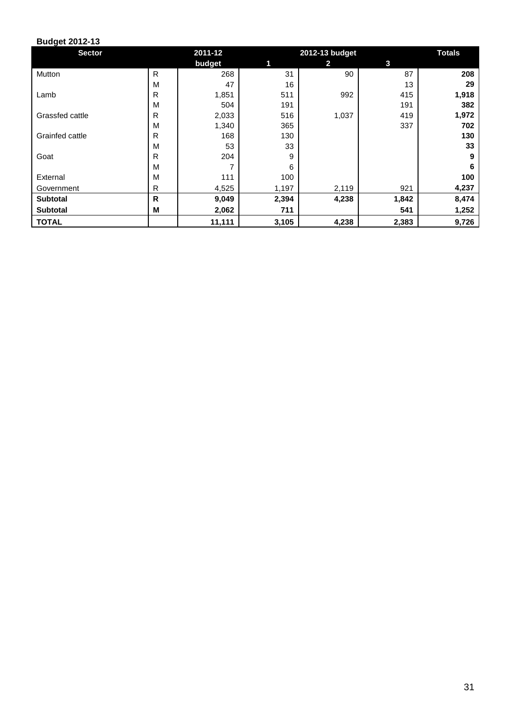| <b>Sector</b>   |              | 2011-12 |       | 2012-13 budget |       | <b>Totals</b> |
|-----------------|--------------|---------|-------|----------------|-------|---------------|
|                 |              | budget  | 1     | 2              | 3     |               |
| Mutton          | R            | 268     | 31    | 90             | 87    | 208           |
|                 | M            | 47      | 16    |                | 13    | 29            |
| Lamb            | R            | 1,851   | 511   | 992            | 415   | 1,918         |
|                 | M            | 504     | 191   |                | 191   | 382           |
| Grassfed cattle | $\mathsf{R}$ | 2,033   | 516   | 1,037          | 419   | 1,972         |
|                 | M            | 1,340   | 365   |                | 337   | 702           |
| Grainfed cattle | R            | 168     | 130   |                |       | 130           |
|                 | M            | 53      | 33    |                |       | 33            |
| Goat            | R            | 204     | 9     |                |       | 9             |
|                 | M            |         | 6     |                |       | 6             |
| External        | M            | 111     | 100   |                |       | 100           |
| Government      | R            | 4,525   | 1,197 | 2,119          | 921   | 4,237         |
| Subtotal        | R            | 9,049   | 2,394 | 4,238          | 1,842 | 8,474         |
| <b>Subtotal</b> | M            | 2,062   | 711   |                | 541   | 1,252         |
| <b>TOTAL</b>    |              | 11,111  | 3,105 | 4,238          | 2,383 | 9,726         |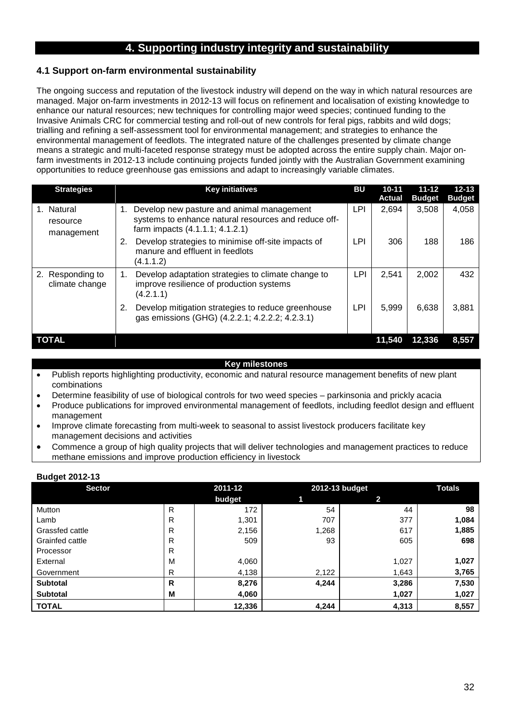# **4. Supporting industry integrity and sustainability**

# **4.1 Support on-farm environmental sustainability**

The ongoing success and reputation of the livestock industry will depend on the way in which natural resources are managed. Major on-farm investments in 2012-13 will focus on refinement and localisation of existing knowledge to enhance our natural resources; new techniques for controlling major weed species; continued funding to the Invasive Animals CRC for commercial testing and roll-out of new controls for feral pigs, rabbits and wild dogs; trialling and refining a self-assessment tool for environmental management; and strategies to enhance the environmental management of feedlots. The integrated nature of the challenges presented by climate change means a strategic and multi-faceted response strategy must be adopted across the entire supply chain. Major onfarm investments in 2012-13 include continuing projects funded jointly with the Australian Government examining opportunities to reduce greenhouse gas emissions and adapt to increasingly variable climates.

| <b>Strategies</b>                    | <b>Key initiatives</b>                                                                                                                     | BU  | $10 - 11$<br>Actual | $11 - 12$<br><b>Budget</b> | $12 - 13$<br><b>Budget</b> |
|--------------------------------------|--------------------------------------------------------------------------------------------------------------------------------------------|-----|---------------------|----------------------------|----------------------------|
| 1. Natural<br>resource<br>management | Develop new pasture and animal management<br>1.<br>systems to enhance natural resources and reduce off-<br>farm impacts (4.1.1.1; 4.1.2.1) | LPI | 2,694               | 3,508                      | 4,058                      |
|                                      | Develop strategies to minimise off-site impacts of<br>2.<br>manure and effluent in feedlots<br>(4.1.1.2)                                   | LPI | 306                 | 188                        | 186                        |
| 2. Responding to<br>climate change   | Develop adaptation strategies to climate change to<br>1.<br>improve resilience of production systems<br>(4.2.1.1)                          | LPI | 2,541               | 2,002                      | 432                        |
|                                      | Develop mitigation strategies to reduce greenhouse<br>2.<br>gas emissions (GHG) (4.2.2.1; 4.2.2.2; 4.2.3.1)                                | LPI | 5.999               | 6.638                      | 3.881                      |
| TOTAL                                |                                                                                                                                            |     | 11.540              | 12.336                     | 8.557                      |

#### **Key milestones**

- Publish reports highlighting productivity, economic and natural resource management benefits of new plant combinations
- Determine feasibility of use of biological controls for two weed species parkinsonia and prickly acacia
- Produce publications for improved environmental management of feedlots, including feedlot design and effluent management
- Improve climate forecasting from multi-week to seasonal to assist livestock producers facilitate key management decisions and activities
- Commence a group of high quality projects that will deliver technologies and management practices to reduce methane emissions and improve production efficiency in livestock

| <b>Sector</b>   |   | 2011-12 |       | 2012-13 budget | <b>Totals</b> |
|-----------------|---|---------|-------|----------------|---------------|
|                 |   | budget  |       | 2              |               |
| Mutton          | R | 172     | 54    | 44             | 98            |
| Lamb            | R | 1,301   | 707   | 377            | 1,084         |
| Grassfed cattle | R | 2,156   | 1,268 | 617            | 1,885         |
| Grainfed cattle | R | 509     | 93    | 605            | 698           |
| Processor       | R |         |       |                |               |
| External        | M | 4,060   |       | 1,027          | 1,027         |
| Government      | R | 4,138   | 2,122 | 1,643          | 3,765         |
| <b>Subtotal</b> | R | 8,276   | 4,244 | 3,286          | 7,530         |
| <b>Subtotal</b> | M | 4,060   |       | 1,027          | 1,027         |
| <b>TOTAL</b>    |   | 12,336  | 4,244 | 4,313          | 8,557         |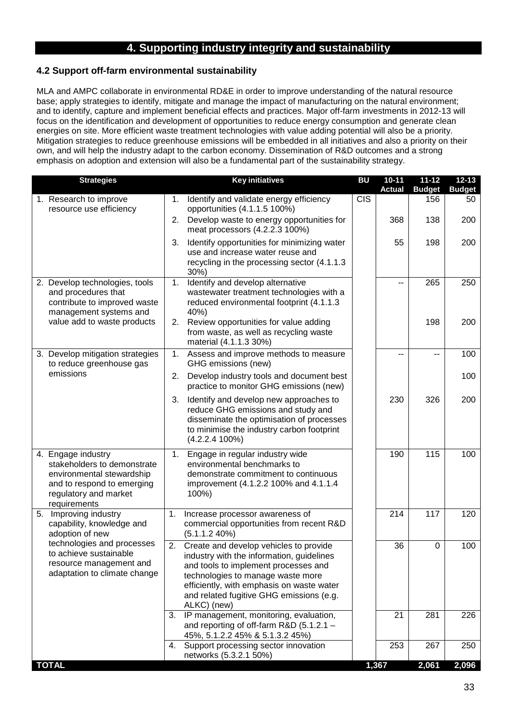# **4. Supporting industry integrity and sustainability**

# **4.2 Support off-farm environmental sustainability**

MLA and AMPC collaborate in environmental RD&E in order to improve understanding of the natural resource base; apply strategies to identify, mitigate and manage the impact of manufacturing on the natural environment; and to identify, capture and implement beneficial effects and practices. Major off-farm investments in 2012-13 will focus on the identification and development of opportunities to reduce energy consumption and generate clean energies on site. More efficient waste treatment technologies with value adding potential will also be a priority. Mitigation strategies to reduce greenhouse emissions will be embedded in all initiatives and also a priority on their own, and will help the industry adapt to the carbon economy. Dissemination of R&D outcomes and a strong emphasis on adoption and extension will also be a fundamental part of the sustainability strategy.

| <b>Strategies</b>                                                                                                                                     | <b>Key initiatives</b>                                                                                                                                                                                                                                                         | <b>BU</b>  | $10 - 11$<br><b>Actual</b> | $11 - 12$<br><b>Budget</b> | $12 - 13$<br><b>Budget</b> |
|-------------------------------------------------------------------------------------------------------------------------------------------------------|--------------------------------------------------------------------------------------------------------------------------------------------------------------------------------------------------------------------------------------------------------------------------------|------------|----------------------------|----------------------------|----------------------------|
| 1. Research to improve<br>resource use efficiency                                                                                                     | Identify and validate energy efficiency<br>1.<br>opportunities (4.1.1.5 100%)                                                                                                                                                                                                  | <b>CIS</b> |                            | 156                        | 50                         |
|                                                                                                                                                       | Develop waste to energy opportunities for<br>2.<br>meat processors (4.2.2.3 100%)                                                                                                                                                                                              |            | 368                        | 138                        | 200                        |
|                                                                                                                                                       | Identify opportunities for minimizing water<br>3.<br>use and increase water reuse and<br>recycling in the processing sector (4.1.1.3)<br>$30\%)$                                                                                                                               |            | 55                         | 198                        | 200                        |
| 2. Develop technologies, tools<br>and procedures that<br>contribute to improved waste<br>management systems and                                       | Identify and develop alternative<br>1.<br>wastewater treatment technologies with a<br>reduced environmental footprint (4.1.1.3)<br>40%)                                                                                                                                        |            |                            | 265                        | 250                        |
| value add to waste products                                                                                                                           | Review opportunities for value adding<br>2.<br>from waste, as well as recycling waste<br>material (4.1.1.3 30%)                                                                                                                                                                |            |                            | 198                        | 200                        |
| 3. Develop mitigation strategies<br>to reduce greenhouse gas                                                                                          | Assess and improve methods to measure<br>1.<br>GHG emissions (new)                                                                                                                                                                                                             |            |                            |                            | 100                        |
| emissions                                                                                                                                             | Develop industry tools and document best<br>2.<br>practice to monitor GHG emissions (new)                                                                                                                                                                                      |            |                            |                            | 100                        |
|                                                                                                                                                       | Identify and develop new approaches to<br>3.<br>reduce GHG emissions and study and<br>disseminate the optimisation of processes<br>to minimise the industry carbon footprint<br>$(4.2.2.4 100\%)$                                                                              |            | 230                        | 326                        | 200                        |
| 4. Engage industry<br>stakeholders to demonstrate<br>environmental stewardship<br>and to respond to emerging<br>regulatory and market<br>requirements | Engage in regular industry wide<br>1.<br>environmental benchmarks to<br>demonstrate commitment to continuous<br>improvement (4.1.2.2 100% and 4.1.1.4<br>100%)                                                                                                                 |            | 190                        | 115                        | 100                        |
| 5. Improving industry<br>capability, knowledge and<br>adoption of new                                                                                 | 1.<br>Increase processor awareness of<br>commercial opportunities from recent R&D<br>(5.1.1.2 40%)                                                                                                                                                                             |            | 214                        | 117                        | 120                        |
| technologies and processes<br>to achieve sustainable<br>resource management and<br>adaptation to climate change                                       | Create and develop vehicles to provide<br>2.<br>industry with the information, guidelines<br>and tools to implement processes and<br>technologies to manage waste more<br>efficiently, with emphasis on waste water<br>and related fugitive GHG emissions (e.g.<br>ALKC) (new) |            | 36                         | 0                          | 100                        |
|                                                                                                                                                       | IP management, monitoring, evaluation,<br>3.<br>and reporting of off-farm $R&D$ (5.1.2.1 –<br>45%, 5.1.2.2 45% & 5.1.3.2 45%)                                                                                                                                                  |            | 21                         | 281                        | 226                        |
|                                                                                                                                                       | 4. Support processing sector innovation<br>networks (5.3.2.1 50%)                                                                                                                                                                                                              |            | 253                        | 267                        | 250                        |
| <b>TOTAL</b>                                                                                                                                          |                                                                                                                                                                                                                                                                                |            | 1,367                      | 2,061                      | 2,096                      |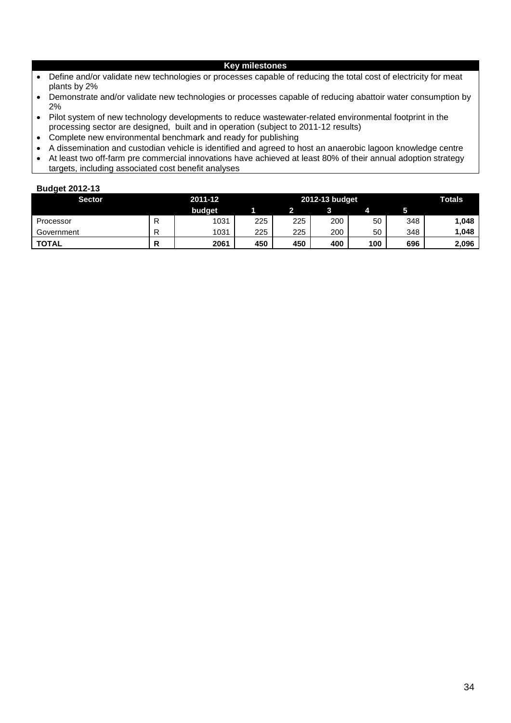#### **Key milestones**

- Define and/or validate new technologies or processes capable of reducing the total cost of electricity for meat plants by 2%
- Demonstrate and/or validate new technologies or processes capable of reducing abattoir water consumption by 2%
- Pilot system of new technology developments to reduce wastewater-related environmental footprint in the processing sector are designed, built and in operation (subject to 2011-12 results)
- Complete new environmental benchmark and ready for publishing
- A dissemination and custodian vehicle is identified and agreed to host an anaerobic lagoon knowledge centre
- At least two off-farm pre commercial innovations have achieved at least 80% of their annual adoption strategy targets, including associated cost benefit analyses

| <b>Sector</b> |   | 2011-12<br>2012-13 budget |     |     |     |     | <b>Totals</b> |       |
|---------------|---|---------------------------|-----|-----|-----|-----|---------------|-------|
|               |   | budget                    |     |     |     |     | b             |       |
| Processor     |   | 1031                      | 225 | 225 | 200 | 50  | 348           | 1,048 |
| Government    | D | 1031                      | 225 | 225 | 200 | 50  | 348           | 1,048 |
| <b>TOTAL</b>  |   | 2061                      | 450 | 450 | 400 | 100 | 696           | 2,096 |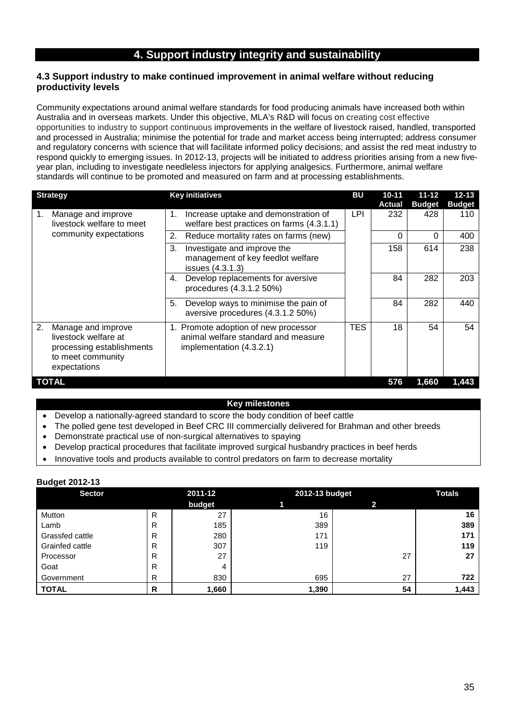# **4. Support industry integrity and sustainability**

### **4.3 Support industry to make continued improvement in animal welfare without reducing productivity levels**

Community expectations around animal welfare standards for food producing animals have increased both within Australia and in overseas markets. Under this objective, MLA's R&D will focus on creating cost effective opportunities to industry to support continuous improvements in the welfare of livestock raised, handled, transported and processed in Australia; minimise the potential for trade and market access being interrupted; address consumer and regulatory concerns with science that will facilitate informed policy decisions; and assist the red meat industry to respond quickly to emerging issues. In 2012-13, projects will be initiated to address priorities arising from a new fiveyear plan, including to investigate needleless injectors for applying analgesics. Furthermore, animal welfare standards will continue to be promoted and measured on farm and at processing establishments.

| <b>Strategy</b>                                                                                                    | <b>Key initiatives</b>                                                                                  | <b>BU</b>  | $10 - 11$<br><b>Actual</b> | $11 - 12$<br><b>Budget</b> | $12 - 13$<br><b>Budget</b> |
|--------------------------------------------------------------------------------------------------------------------|---------------------------------------------------------------------------------------------------------|------------|----------------------------|----------------------------|----------------------------|
| Manage and improve<br>1.<br>livestock welfare to meet                                                              | Increase uptake and demonstration of<br>1.<br>welfare best practices on farms (4.3.1.1)                 | LPI        | 232                        | 428                        | 110                        |
| community expectations                                                                                             | Reduce mortality rates on farms (new)<br>2.                                                             |            | 0                          | 0                          | 400                        |
|                                                                                                                    | 3.<br>Investigate and improve the<br>management of key feedlot welfare<br>issues (4.3.1.3)              |            | 158                        | 614                        | 238                        |
|                                                                                                                    | Develop replacements for aversive<br>4.<br>procedures (4.3.1.2 50%)                                     |            | 84                         | 282                        | 203                        |
|                                                                                                                    | Develop ways to minimise the pain of<br>5.<br>aversive procedures (4.3.1.2 50%)                         |            | 84                         | 282                        | 440                        |
| 2.<br>Manage and improve<br>livestock welfare at<br>processing establishments<br>to meet community<br>expectations | 1. Promote adoption of new processor<br>animal welfare standard and measure<br>implementation (4.3.2.1) | <b>TES</b> | 18                         | 54                         | 54                         |
| TOTAL                                                                                                              |                                                                                                         |            | 576                        | 1,660                      | 1.443                      |

#### **Key milestones**

- Develop a nationally-agreed standard to score the body condition of beef cattle
- The polled gene test developed in Beef CRC III commercially delivered for Brahman and other breeds
- Demonstrate practical use of non-surgical alternatives to spaying
- Develop practical procedures that facilitate improved surgical husbandry practices in beef herds
- Innovative tools and products available to control predators on farm to decrease mortality

| <b>Sector</b>   |   | 2011-12 | 2012-13 budget |    | <b>Totals</b> |
|-----------------|---|---------|----------------|----|---------------|
|                 |   | budget  |                |    |               |
| Mutton          | R | 27      | 16             |    | 16            |
| Lamb            | R | 185     | 389            |    | 389           |
| Grassfed cattle | R | 280     | 171            |    | 171           |
| Grainfed cattle | R | 307     | 119            |    | 119           |
| Processor       | R | 27      |                | 27 | 27            |
| Goat            | R |         |                |    |               |
| Government      | R | 830     | 695            | 27 | 722           |
| <b>TOTAL</b>    | R | 1,660   | 1,390          | 54 | 1,443         |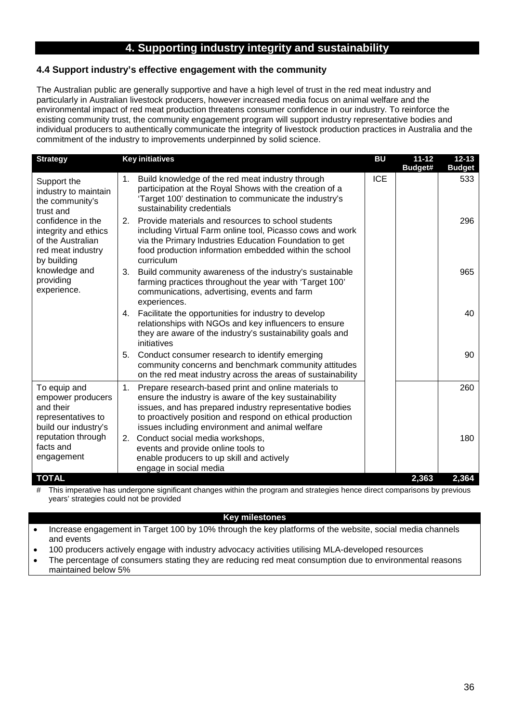# **4. Supporting industry integrity and sustainability**

# **4.4 Support industry's effective engagement with the community**

The Australian public are generally supportive and have a high level of trust in the red meat industry and particularly in Australian livestock producers, however increased media focus on animal welfare and the environmental impact of red meat production threatens consumer confidence in our industry. To reinforce the existing community trust, the community engagement program will support industry representative bodies and individual producers to authentically communicate the integrity of livestock production practices in Australia and the commitment of the industry to improvements underpinned by solid science.

| <b>Strategy</b>                                                                                                                                                                                                        | <b>Key initiatives</b>                                                                                                                                                                                                                                                                          | <b>BU</b>  | $11 - 12$<br>Budget# | $12 - 13$<br><b>Budget</b> |
|------------------------------------------------------------------------------------------------------------------------------------------------------------------------------------------------------------------------|-------------------------------------------------------------------------------------------------------------------------------------------------------------------------------------------------------------------------------------------------------------------------------------------------|------------|----------------------|----------------------------|
| Support the<br>industry to maintain<br>the community's<br>trust and<br>confidence in the<br>integrity and ethics<br>of the Australian<br>red meat industry<br>by building<br>knowledge and<br>providing<br>experience. | Build knowledge of the red meat industry through<br>1.<br>participation at the Royal Shows with the creation of a<br>'Target 100' destination to communicate the industry's<br>sustainability credentials                                                                                       | <b>ICE</b> |                      | 533                        |
|                                                                                                                                                                                                                        | Provide materials and resources to school students<br>2.<br>including Virtual Farm online tool, Picasso cows and work<br>via the Primary Industries Education Foundation to get<br>food production information embedded within the school<br>curriculum                                         |            |                      | 296                        |
|                                                                                                                                                                                                                        | 3.<br>Build community awareness of the industry's sustainable<br>farming practices throughout the year with 'Target 100'<br>communications, advertising, events and farm<br>experiences.                                                                                                        |            |                      | 965                        |
|                                                                                                                                                                                                                        | Facilitate the opportunities for industry to develop<br>4.<br>relationships with NGOs and key influencers to ensure<br>they are aware of the industry's sustainability goals and<br>initiatives                                                                                                 |            |                      | 40                         |
|                                                                                                                                                                                                                        | 5.<br>Conduct consumer research to identify emerging<br>community concerns and benchmark community attitudes<br>on the red meat industry across the areas of sustainability                                                                                                                     |            |                      | 90                         |
| To equip and<br>empower producers<br>and their<br>representatives to<br>build our industry's                                                                                                                           | 1.<br>Prepare research-based print and online materials to<br>ensure the industry is aware of the key sustainability<br>issues, and has prepared industry representative bodies<br>to proactively position and respond on ethical production<br>issues including environment and animal welfare |            |                      | 260                        |
| reputation through<br>facts and<br>engagement                                                                                                                                                                          | Conduct social media workshops,<br>2.<br>events and provide online tools to<br>enable producers to up skill and actively<br>engage in social media                                                                                                                                              |            |                      | 180                        |
| <b>TOTAL</b>                                                                                                                                                                                                           |                                                                                                                                                                                                                                                                                                 |            | 2,363                | 2,364                      |

# This imperative has undergone significant changes within the program and strategies hence direct comparisons by previous years' strategies could not be provided

### **Key milestones**

• Increase engagement in Target 100 by 10% through the key platforms of the website, social media channels and events

• 100 producers actively engage with industry advocacy activities utilising MLA-developed resources

• The percentage of consumers stating they are reducing red meat consumption due to environmental reasons maintained below 5%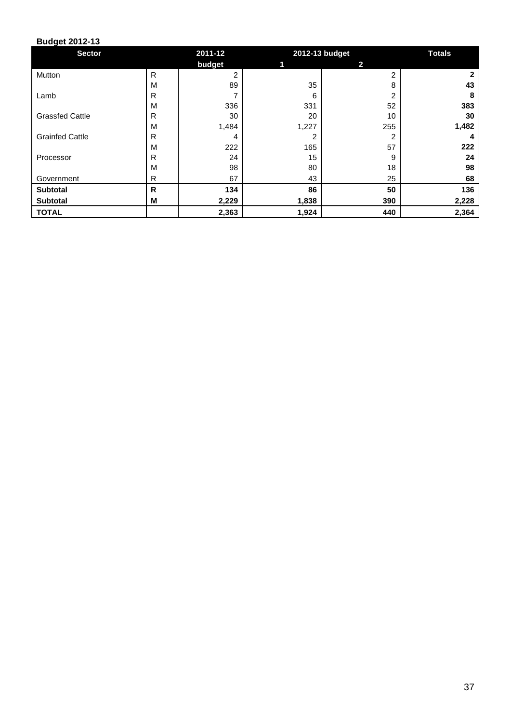| <b>Sector</b>          |              | 2011-12 | 2012-13 budget |     | <b>Totals</b> |  |  |  |
|------------------------|--------------|---------|----------------|-----|---------------|--|--|--|
|                        |              | budget  |                | 2   |               |  |  |  |
| Mutton                 | $\mathsf{R}$ | 2       |                | 2   |               |  |  |  |
|                        | M            | 89      | 35             | 8   | 43            |  |  |  |
| Lamb                   | R            | 7       | 6              | 2   | 8             |  |  |  |
|                        | M            | 336     | 331            | 52  | 383           |  |  |  |
| <b>Grassfed Cattle</b> | R            | 30      | 20             | 10  | 30            |  |  |  |
|                        | M            | 1,484   | 1,227          | 255 | 1,482         |  |  |  |
| <b>Grainfed Cattle</b> | R            | 4       | 2              | 2   |               |  |  |  |
|                        | M            | 222     | 165            | 57  | 222           |  |  |  |
| Processor              | R            | 24      | 15             | 9   | 24            |  |  |  |
|                        | M            | 98      | 80             | 18  | 98            |  |  |  |
| Government             | R            | 67      | 43             | 25  | 68            |  |  |  |
| <b>Subtotal</b>        | R            | 134     | 86             | 50  | 136           |  |  |  |
| Subtotal               | M            | 2,229   | 1,838          | 390 | 2,228         |  |  |  |
| <b>TOTAL</b>           |              | 2,363   | 1,924          | 440 | 2,364         |  |  |  |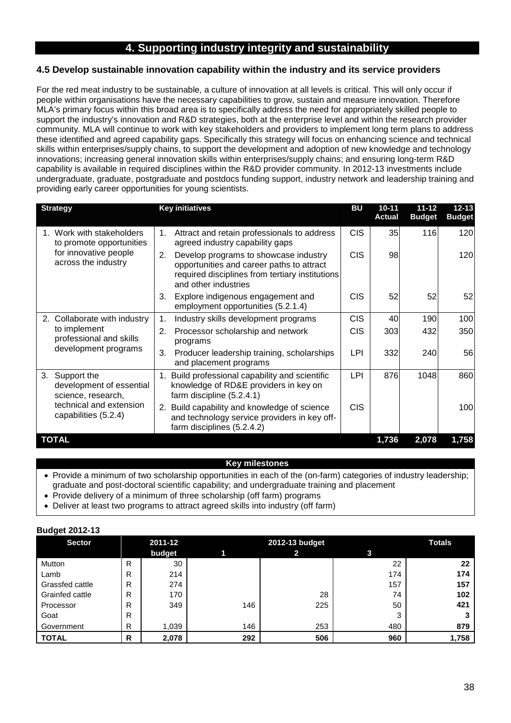# **4. Supporting industry integrity and sustainability**

# **4.5 Develop sustainable innovation capability within the industry and its service providers**

For the red meat industry to be sustainable, a culture of innovation at all levels is critical. This will only occur if people within organisations have the necessary capabilities to grow, sustain and measure innovation. Therefore MLA's primary focus within this broad area is to specifically address the need for appropriately skilled people to support the industry's innovation and R&D strategies, both at the enterprise level and within the research provider community. MLA will continue to work with key stakeholders and providers to implement long term plans to address these identified and agreed capability gaps. Specifically this strategy will focus on enhancing science and technical skills within enterprises/supply chains, to support the development and adoption of new knowledge and technology innovations; increasing general innovation skills within enterprises/supply chains; and ensuring long-term R&D capability is available in required disciplines within the R&D provider community. In 2012-13 investments include undergraduate, graduate, postgraduate and postdocs funding support, industry network and leadership training and providing early career opportunities for young scientists.

| <b>Strategy</b>                                                     | <b>Key initiatives</b>                                                                                                                                              | <b>BU</b>  | $10 - 11$<br><b>Actual</b> | $11 - 12$<br><b>Budget</b> | $12 - 13$<br><b>Budget</b> |
|---------------------------------------------------------------------|---------------------------------------------------------------------------------------------------------------------------------------------------------------------|------------|----------------------------|----------------------------|----------------------------|
| 1. Work with stakeholders<br>to promote opportunities               | Attract and retain professionals to address<br>1.<br>agreed industry capability gaps                                                                                | <b>CIS</b> | 35                         | 116                        | 120                        |
| for innovative people<br>across the industry                        | Develop programs to showcase industry<br>2.<br>opportunities and career paths to attract<br>required disciplines from tertiary institutions<br>and other industries | <b>CIS</b> | 98                         |                            | 120                        |
|                                                                     | Explore indigenous engagement and<br>3.<br>employment opportunities (5.2.1.4)                                                                                       | <b>CIS</b> | 52                         | 52                         | 52                         |
| 2. Collaborate with industry                                        | 1.<br>Industry skills development programs                                                                                                                          | <b>CIS</b> | 40                         | 190                        | 100                        |
| to implement<br>professional and skills                             | 2.<br>Processor scholarship and network<br>programs                                                                                                                 | <b>CIS</b> | 303                        | 432                        | 350                        |
| development programs                                                | Producer leadership training, scholarships<br>3.<br>and placement programs                                                                                          | LPI        | 332                        | 240                        | 56                         |
| 3.<br>Support the<br>development of essential<br>science, research, | Build professional capability and scientific<br>1.<br>knowledge of RD&E providers in key on<br>farm discipline (5.2.4.1)                                            | LPI        | 876                        | 1048                       | 860                        |
| technical and extension<br>capabilities (5.2.4)                     | 2. Build capability and knowledge of science<br>and technology service providers in key off-<br>farm disciplines (5.2.4.2)                                          | <b>CIS</b> |                            |                            | 100                        |
| <b>TOTAL</b>                                                        |                                                                                                                                                                     |            | 1,736                      | 2,078                      | 1,758                      |

# **Key milestones**

- Provide a minimum of two scholarship opportunities in each of the (on-farm) categories of industry leadership; graduate and post-doctoral scientific capability; and undergraduate training and placement
- Provide delivery of a minimum of three scholarship (off farm) programs
- Deliver at least two programs to attract agreed skills into industry (off farm)

| <b>Sector</b>   |   | 2011-12 |     | <b>Totals</b> |     |       |  |
|-----------------|---|---------|-----|---------------|-----|-------|--|
|                 |   | budget  |     | 2             | 3   |       |  |
| Mutton          | R | 30      |     |               | 22  | 22    |  |
| Lamb            | R | 214     |     |               | 174 | 174   |  |
| Grassfed cattle | R | 274     |     |               | 157 | 157   |  |
| Grainfed cattle | R | 170     |     | 28            | 74  | 102   |  |
| Processor       | R | 349     | 146 | 225           | 50  | 421   |  |
| Goat            | R |         |     |               | 3   |       |  |
| Government      | R | 1,039   | 146 | 253           | 480 | 879   |  |
| I TOTAL         | R | 2,078   | 292 | 506           | 960 | 1,758 |  |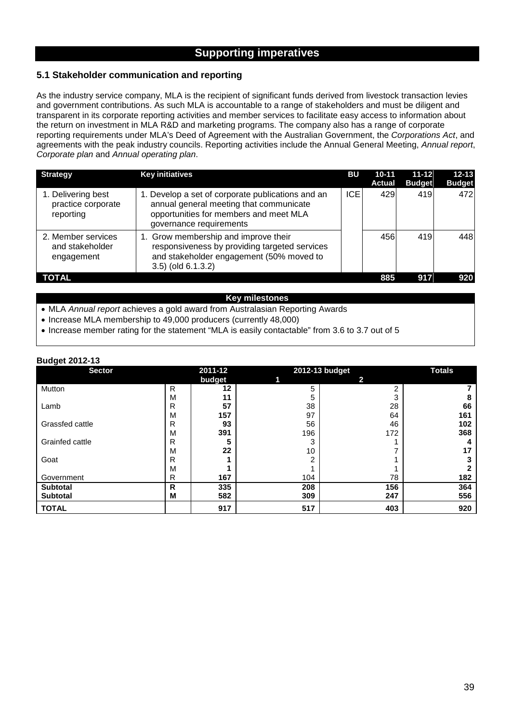# **Supporting imperatives**

### **5.1 Stakeholder communication and reporting**

As the industry service company, MLA is the recipient of significant funds derived from livestock transaction levies and government contributions. As such MLA is accountable to a range of stakeholders and must be diligent and transparent in its corporate reporting activities and member services to facilitate easy access to information about the return on investment in MLA R&D and marketing programs. The company also has a range of corporate reporting requirements under MLA's Deed of Agreement with the Australian Government, the *Corporations Act*, and agreements with the peak industry councils. Reporting activities include the Annual General Meeting, *Annual report*, *Corporate plan* and *Annual operating plan*.

| <b>Strategy</b>                                       | <b>Key initiatives</b>                                                                                                                                            | BU   | $10 - 11$<br><b>Actual</b> | $11 - 12$<br><b>Budget</b> | $12 - 13$<br><b>Budget</b> |
|-------------------------------------------------------|-------------------------------------------------------------------------------------------------------------------------------------------------------------------|------|----------------------------|----------------------------|----------------------------|
| 1. Delivering best<br>practice corporate<br>reporting | 1. Develop a set of corporate publications and an<br>annual general meeting that communicate<br>opportunities for members and meet MLA<br>governance requirements | ICE. | 429                        | 419                        | 472                        |
| 2. Member services<br>and stakeholder<br>engagement   | 1. Grow membership and improve their<br>responsiveness by providing targeted services<br>and stakeholder engagement (50% moved to<br>$3.5$ ) (old $6.1.3.2$ )     |      | 456                        | 419                        | 448                        |
| TOTAL                                                 |                                                                                                                                                                   |      | 885                        | 917                        | 920                        |

#### **Key milestones**

• MLA *Annual report* achieves a gold award from Australasian Reporting Awards

• Increase MLA membership to 49,000 producers (currently 48,000)

• Increase member rating for the statement "MLA is easily contactable" from 3.6 to 3.7 out of 5

| ັ<br><b>Sector</b> |   | 2011-12 |     | 2012-13 budget |     |  |  |  |  |  |  |
|--------------------|---|---------|-----|----------------|-----|--|--|--|--|--|--|
|                    |   | budget  |     | 2              |     |  |  |  |  |  |  |
| Mutton             | R | 12      | 5   | ົ              |     |  |  |  |  |  |  |
|                    | M | 11      | 5   | 3              | 8   |  |  |  |  |  |  |
| Lamb               | R | 57      | 38  | 28             | 66  |  |  |  |  |  |  |
|                    | M | 157     | 97  | 64             | 161 |  |  |  |  |  |  |
| Grassfed cattle    | R | 93      | 56  | 46             | 102 |  |  |  |  |  |  |
|                    | M | 391     | 196 | 172            | 368 |  |  |  |  |  |  |
| Grainfed cattle    | R |         | 3   |                | 4   |  |  |  |  |  |  |
|                    | M | 22      | 10  |                | 17  |  |  |  |  |  |  |
| Goat               | R |         |     |                |     |  |  |  |  |  |  |
|                    | м |         |     |                |     |  |  |  |  |  |  |
| Government         | R | 167     | 104 | 78             | 182 |  |  |  |  |  |  |
| <b>Subtotal</b>    | R | 335     | 208 | 156            | 364 |  |  |  |  |  |  |
| <b>Subtotal</b>    | М | 582     | 309 | 247            | 556 |  |  |  |  |  |  |
| <b>TOTAL</b>       |   | 917     | 517 | 403            | 920 |  |  |  |  |  |  |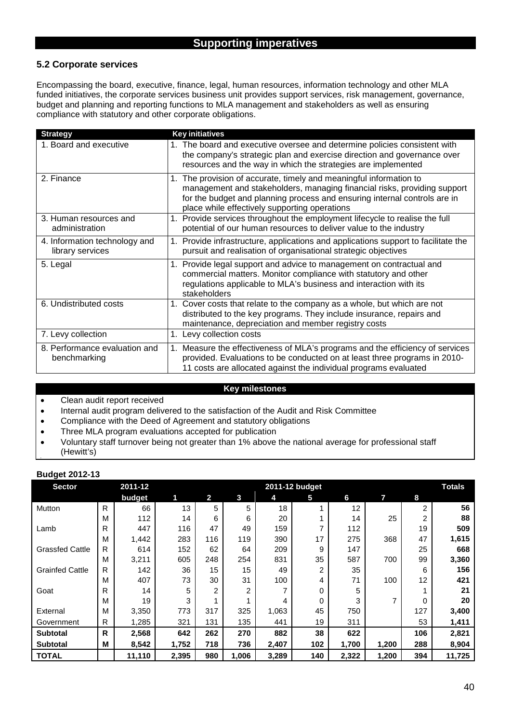# **5.2 Corporate services**

Encompassing the board, executive, finance, legal, human resources, information technology and other MLA funded initiatives, the corporate services business unit provides support services, risk management, governance, budget and planning and reporting functions to MLA management and stakeholders as well as ensuring compliance with statutory and other corporate obligations.

| <b>Strategy</b>                                   | <b>Key initiatives</b>                                                                                                                                                                                                                                                       |
|---------------------------------------------------|------------------------------------------------------------------------------------------------------------------------------------------------------------------------------------------------------------------------------------------------------------------------------|
| 1. Board and executive                            | 1. The board and executive oversee and determine policies consistent with<br>the company's strategic plan and exercise direction and governance over<br>resources and the way in which the strategies are implemented                                                        |
| 2. Finance                                        | 1. The provision of accurate, timely and meaningful information to<br>management and stakeholders, managing financial risks, providing support<br>for the budget and planning process and ensuring internal controls are in<br>place while effectively supporting operations |
| 3. Human resources and<br>administration          | 1. Provide services throughout the employment lifecycle to realise the full<br>potential of our human resources to deliver value to the industry                                                                                                                             |
| 4. Information technology and<br>library services | 1. Provide infrastructure, applications and applications support to facilitate the<br>pursuit and realisation of organisational strategic objectives                                                                                                                         |
| 5. Legal                                          | 1. Provide legal support and advice to management on contractual and<br>commercial matters. Monitor compliance with statutory and other<br>regulations applicable to MLA's business and interaction with its<br>stakeholders                                                 |
| 6. Undistributed costs                            | 1. Cover costs that relate to the company as a whole, but which are not<br>distributed to the key programs. They include insurance, repairs and<br>maintenance, depreciation and member registry costs                                                                       |
| 7. Levy collection                                | 1. Levy collection costs                                                                                                                                                                                                                                                     |
| 8. Performance evaluation and<br>benchmarking     | 1. Measure the effectiveness of MLA's programs and the efficiency of services<br>provided. Evaluations to be conducted on at least three programs in 2010-<br>11 costs are allocated against the individual programs evaluated                                               |

### **Key milestones**

- Clean audit report received
- Internal audit program delivered to the satisfaction of the Audit and Risk Committee
- Compliance with the Deed of Agreement and statutory obligations
- Three MLA program evaluations accepted for publication
- Voluntary staff turnover being not greater than 1% above the national average for professional staff
- (Hewitt's)

| <b>Sector</b>          |   | 2011-12 |       | 2011-12 budget |                |       |     |       |       |                |        |  |  |  |
|------------------------|---|---------|-------|----------------|----------------|-------|-----|-------|-------|----------------|--------|--|--|--|
|                        |   | budget  | 1     | 2              | 3              | 4     | 5   | 6     | 7     | 8              |        |  |  |  |
| Mutton                 | R | 66      | 13    | 5              | 5              | 18    |     | 12    |       | $\overline{2}$ | 56     |  |  |  |
|                        | M | 112     | 14    | 6              | 6              | 20    |     | 14    | 25    | 2              | 88     |  |  |  |
| Lamb                   | R | 447     | 116   | 47             | 49             | 159   |     | 112   |       | 19             | 509    |  |  |  |
|                        | M | 1,442   | 283   | 116            | 119            | 390   | 17  | 275   | 368   | 47             | 1,615  |  |  |  |
| <b>Grassfed Cattle</b> | R | 614     | 152   | 62             | 64             | 209   | 9   | 147   |       | 25             | 668    |  |  |  |
|                        | M | 3,211   | 605   | 248            | 254            | 831   | 35  | 587   | 700   | 99             | 3,360  |  |  |  |
| <b>Grainfed Cattle</b> | R | 142     | 36    | 15             | 15             | 49    | 2   | 35    |       | 6              | 156    |  |  |  |
|                        | M | 407     | 73    | 30             | 31             | 100   | 4   | 71    | 100   | 12             | 421    |  |  |  |
| Goat                   | R | 14      | 5     | $\overline{2}$ | $\overline{2}$ |       | 0   | 5     |       |                | 21     |  |  |  |
|                        | M | 19      | 3     |                |                | 4     | 0   | 3     | 7     | 0              | 20     |  |  |  |
| External               | M | 3,350   | 773   | 317            | 325            | 1,063 | 45  | 750   |       | 127            | 3,400  |  |  |  |
| Government             | R | 1,285   | 321   | 131            | 135            | 441   | 19  | 311   |       | 53             | 1,411  |  |  |  |
| <b>Subtotal</b>        | R | 2,568   | 642   | 262            | 270            | 882   | 38  | 622   |       | 106            | 2,821  |  |  |  |
| <b>Subtotal</b>        | M | 8,542   | 1,752 | 718            | 736            | 2,407 | 102 | 1,700 | 1,200 | 288            | 8,904  |  |  |  |
| <b>TOTAL</b>           |   | 11,110  | 2,395 | 980            | 1,006          | 3,289 | 140 | 2,322 | 1,200 | 394            | 11,725 |  |  |  |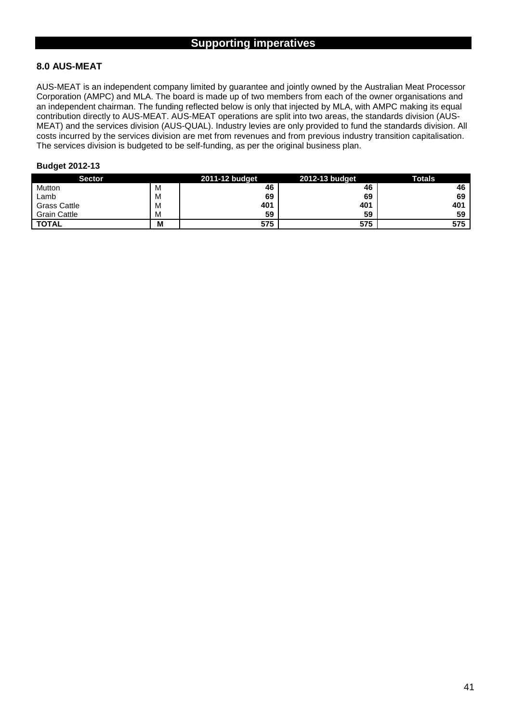# **8.0 AUS-MEAT**

AUS-MEAT is an independent company limited by guarantee and jointly owned by the Australian Meat Processor Corporation (AMPC) and MLA. The board is made up of two members from each of the owner organisations and an independent chairman. The funding reflected below is only that injected by MLA, with AMPC making its equal contribution directly to AUS-MEAT. AUS-MEAT operations are split into two areas, the standards division (AUS-MEAT) and the services division (AUS-QUAL). Industry levies are only provided to fund the standards division. All costs incurred by the services division are met from revenues and from previous industry transition capitalisation. The services division is budgeted to be self-funding, as per the original business plan.

| <b>Sector</b>       |   | 2011-12 budget | 2012-13 budget | <b>Totals</b> |
|---------------------|---|----------------|----------------|---------------|
| Mutton              | M | 46             | 46             | 46            |
| Lamb                | M | 69             | 69             | 69            |
| <b>Grass Cattle</b> | M | 401            | 401            | 401           |
| <b>Grain Cattle</b> | M | 59             | 59             | 59            |
| <b>TOTAL</b>        | M | 575            | 575            | 575           |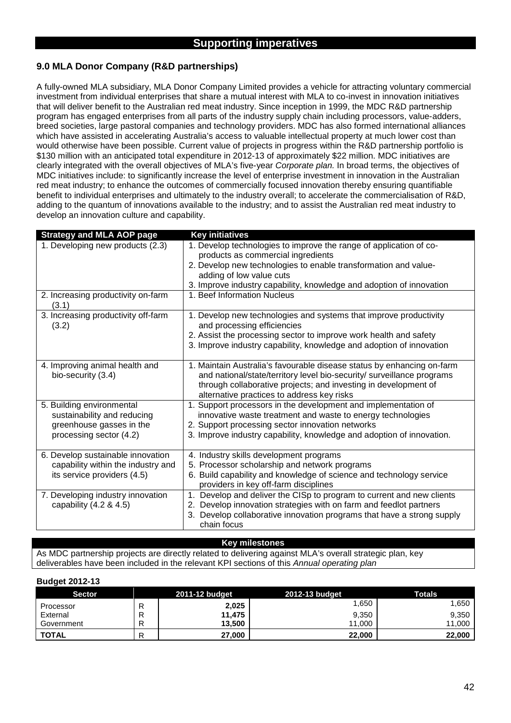# **9.0 MLA Donor Company (R&D partnerships)**

A fully-owned MLA subsidiary, MLA Donor Company Limited provides a vehicle for attracting voluntary commercial investment from individual enterprises that share a mutual interest with MLA to co-invest in innovation initiatives that will deliver benefit to the Australian red meat industry. Since inception in 1999, the MDC R&D partnership program has engaged enterprises from all parts of the industry supply chain including processors, value-adders, breed societies, large pastoral companies and technology providers. MDC has also formed international alliances which have assisted in accelerating Australia's access to valuable intellectual property at much lower cost than would otherwise have been possible. Current value of projects in progress within the R&D partnership portfolio is \$130 million with an anticipated total expenditure in 2012-13 of approximately \$22 million. MDC initiatives are clearly integrated with the overall objectives of MLA's five-year *Corporate plan.* In broad terms, the objectives of MDC initiatives include: to significantly increase the level of enterprise investment in innovation in the Australian red meat industry; to enhance the outcomes of commercially focused innovation thereby ensuring quantifiable benefit to individual enterprises and ultimately to the industry overall; to accelerate the commercialisation of R&D, adding to the quantum of innovations available to the industry; and to assist the Australian red meat industry to develop an innovation culture and capability.

| <b>Strategy and MLA AOP page</b>             | <b>Key initiatives</b>                                                                           |
|----------------------------------------------|--------------------------------------------------------------------------------------------------|
| 1. Developing new products (2.3)             | 1. Develop technologies to improve the range of application of co-                               |
|                                              | products as commercial ingredients                                                               |
|                                              | 2. Develop new technologies to enable transformation and value-                                  |
|                                              | adding of low value cuts                                                                         |
|                                              | 3. Improve industry capability, knowledge and adoption of innovation                             |
| 2. Increasing productivity on-farm<br>(3.1)  | 1. Beef Information Nucleus                                                                      |
| 3. Increasing productivity off-farm<br>(3.2) | 1. Develop new technologies and systems that improve productivity<br>and processing efficiencies |
|                                              | 2. Assist the processing sector to improve work health and safety                                |
|                                              | 3. Improve industry capability, knowledge and adoption of innovation                             |
| 4. Improving animal health and               | 1. Maintain Australia's favourable disease status by enhancing on-farm                           |
| bio-security (3.4)                           | and national/state/territory level bio-security/ surveillance programs                           |
|                                              | through collaborative projects; and investing in development of                                  |
|                                              | alternative practices to address key risks                                                       |
| 5. Building environmental                    | 1. Support processors in the development and implementation of                                   |
| sustainability and reducing                  | innovative waste treatment and waste to energy technologies                                      |
| greenhouse gasses in the                     | 2. Support processing sector innovation networks                                                 |
| processing sector (4.2)                      | 3. Improve industry capability, knowledge and adoption of innovation.                            |
| 6. Develop sustainable innovation            | 4. Industry skills development programs                                                          |
| capability within the industry and           | 5. Processor scholarship and network programs                                                    |
| its service providers (4.5)                  | 6. Build capability and knowledge of science and technology service                              |
|                                              | providers in key off-farm disciplines                                                            |
| 7. Developing industry innovation            | 1. Develop and deliver the CISp to program to current and new clients                            |
| capability $(4.2 \& 4.5)$                    | Develop innovation strategies with on farm and feedlot partners<br>2.                            |
|                                              | 3. Develop collaborative innovation programs that have a strong supply<br>chain focus            |
|                                              |                                                                                                  |

#### **Key milestones**

As MDC partnership projects are directly related to delivering against MLA's overall strategic plan, key deliverables have been included in the relevant KPI sections of this *Annual operating plan*

| <b>Sector</b> |     | 2011-12 budget | 2012-13 budget | <b>Totals</b> |
|---------------|-----|----------------|----------------|---------------|
| Processor     | ''  | 2,025          | .650           | .650          |
| External      | . . | 11,475         | 9,350          | 9,350         |
| Government    |     | 13,500         | 11,000         | 11,000        |
| <b>TOTAL</b>  |     | 27,000         | 22,000         | 22,000        |